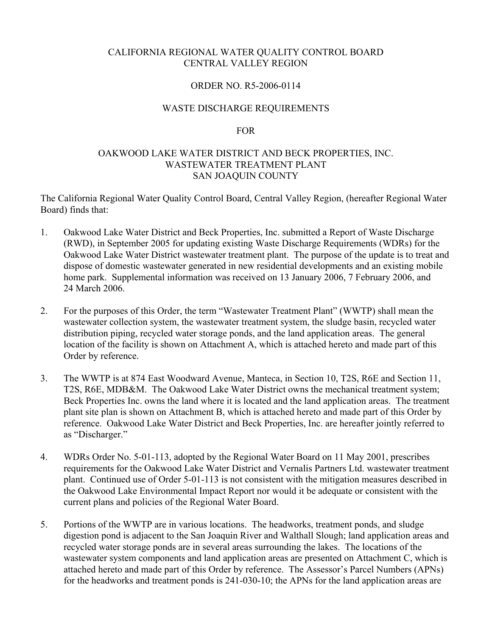### CALIFORNIA REGIONAL WATER QUALITY CONTROL BOARD CENTRAL VALLEY REGION

## ORDER NO. R5-2006-0114

#### WASTE DISCHARGE REQUIREMENTS

#### FOR

## OAKWOOD LAKE WATER DISTRICT AND BECK PROPERTIES, INC. WASTEWATER TREATMENT PLANT SAN JOAQUIN COUNTY

The California Regional Water Quality Control Board, Central Valley Region, (hereafter Regional Water Board) finds that:

- 1. Oakwood Lake Water District and Beck Properties, Inc. submitted a Report of Waste Discharge (RWD), in September 2005 for updating existing Waste Discharge Requirements (WDRs) for the Oakwood Lake Water District wastewater treatment plant. The purpose of the update is to treat and dispose of domestic wastewater generated in new residential developments and an existing mobile home park. Supplemental information was received on 13 January 2006, 7 February 2006, and 24 March 2006.
- 2. For the purposes of this Order, the term "Wastewater Treatment Plant" (WWTP) shall mean the wastewater collection system, the wastewater treatment system, the sludge basin, recycled water distribution piping, recycled water storage ponds, and the land application areas. The general location of the facility is shown on Attachment A, which is attached hereto and made part of this Order by reference.
- 3. The WWTP is at 874 East Woodward Avenue, Manteca, in Section 10, T2S, R6E and Section 11, T2S, R6E, MDB&M. The Oakwood Lake Water District owns the mechanical treatment system; Beck Properties Inc. owns the land where it is located and the land application areas. The treatment plant site plan is shown on Attachment B, which is attached hereto and made part of this Order by reference. Oakwood Lake Water District and Beck Properties, Inc. are hereafter jointly referred to as "Discharger."
- 4. WDRs Order No. 5-01-113, adopted by the Regional Water Board on 11 May 2001, prescribes requirements for the Oakwood Lake Water District and Vernalis Partners Ltd. wastewater treatment plant. Continued use of Order 5-01-113 is not consistent with the mitigation measures described in the Oakwood Lake Environmental Impact Report nor would it be adequate or consistent with the current plans and policies of the Regional Water Board.
- 5. Portions of the WWTP are in various locations. The headworks, treatment ponds, and sludge digestion pond is adjacent to the San Joaquin River and Walthall Slough; land application areas and recycled water storage ponds are in several areas surrounding the lakes. The locations of the wastewater system components and land application areas are presented on Attachment C, which is attached hereto and made part of this Order by reference. The Assessor's Parcel Numbers (APNs) for the headworks and treatment ponds is 241-030-10; the APNs for the land application areas are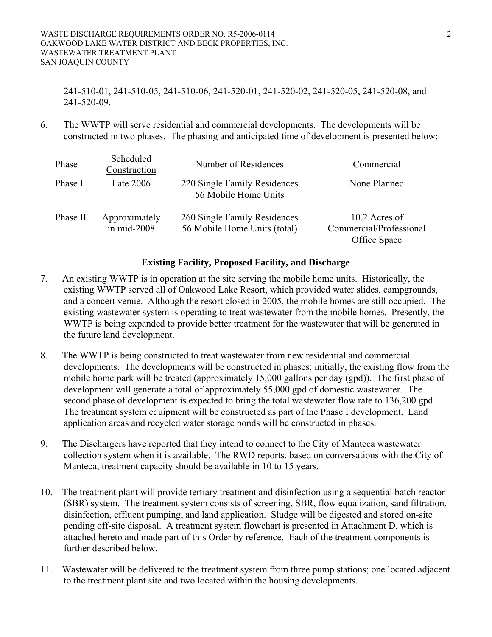#### WASTE DISCHARGE REQUIREMENTS ORDER NO. R5-2006-0114 2 OAKWOOD LAKE WATER DISTRICT AND BECK PROPERTIES, INC. WASTEWATER TREATMENT PLANT SAN JOAQUIN COUNTY

241-510-01, 241-510-05, 241-510-06, 241-520-01, 241-520-02, 241-520-05, 241-520-08, and 241-520-09.

6. The WWTP will serve residential and commercial developments. The developments will be constructed in two phases. The phasing and anticipated time of development is presented below:

| Phase    | Scheduled<br>Construction      | Number of Residences                                         | Commercial                                               |
|----------|--------------------------------|--------------------------------------------------------------|----------------------------------------------------------|
| Phase I  | Late $2006$                    | 220 Single Family Residences<br>56 Mobile Home Units         | None Planned                                             |
| Phase II | Approximately<br>in $mid-2008$ | 260 Single Family Residences<br>56 Mobile Home Units (total) | 10.2 Acres of<br>Commercial/Professional<br>Office Space |

## **Existing Facility, Proposed Facility, and Discharge**

- 7. An existing WWTP is in operation at the site serving the mobile home units. Historically, the existing WWTP served all of Oakwood Lake Resort, which provided water slides, campgrounds, and a concert venue. Although the resort closed in 2005, the mobile homes are still occupied. The existing wastewater system is operating to treat wastewater from the mobile homes. Presently, the WWTP is being expanded to provide better treatment for the wastewater that will be generated in the future land development.
- 8. The WWTP is being constructed to treat wastewater from new residential and commercial developments. The developments will be constructed in phases; initially, the existing flow from the mobile home park will be treated (approximately 15,000 gallons per day (gpd)). The first phase of development will generate a total of approximately 55,000 gpd of domestic wastewater. The second phase of development is expected to bring the total wastewater flow rate to 136,200 gpd. The treatment system equipment will be constructed as part of the Phase I development. Land application areas and recycled water storage ponds will be constructed in phases.
- 9. The Dischargers have reported that they intend to connect to the City of Manteca wastewater collection system when it is available. The RWD reports, based on conversations with the City of Manteca, treatment capacity should be available in 10 to 15 years.
- 10. The treatment plant will provide tertiary treatment and disinfection using a sequential batch reactor (SBR) system. The treatment system consists of screening, SBR, flow equalization, sand filtration, disinfection, effluent pumping, and land application. Sludge will be digested and stored on-site pending off-site disposal. A treatment system flowchart is presented in Attachment D, which is attached hereto and made part of this Order by reference. Each of the treatment components is further described below.
- 11. Wastewater will be delivered to the treatment system from three pump stations; one located adjacent to the treatment plant site and two located within the housing developments.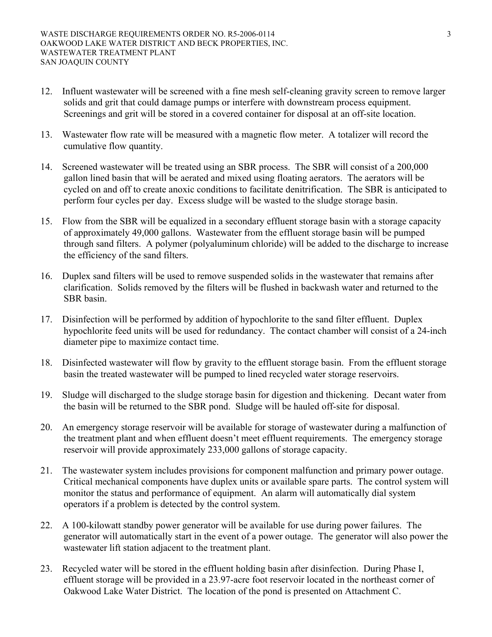- 12. Influent wastewater will be screened with a fine mesh self-cleaning gravity screen to remove larger solids and grit that could damage pumps or interfere with downstream process equipment. Screenings and grit will be stored in a covered container for disposal at an off-site location.
- 13. Wastewater flow rate will be measured with a magnetic flow meter. A totalizer will record the cumulative flow quantity.
- 14. Screened wastewater will be treated using an SBR process. The SBR will consist of a 200,000 gallon lined basin that will be aerated and mixed using floating aerators. The aerators will be cycled on and off to create anoxic conditions to facilitate denitrification. The SBR is anticipated to perform four cycles per day. Excess sludge will be wasted to the sludge storage basin.
- 15. Flow from the SBR will be equalized in a secondary effluent storage basin with a storage capacity of approximately 49,000 gallons. Wastewater from the effluent storage basin will be pumped through sand filters. A polymer (polyaluminum chloride) will be added to the discharge to increase the efficiency of the sand filters.
- 16. Duplex sand filters will be used to remove suspended solids in the wastewater that remains after clarification. Solids removed by the filters will be flushed in backwash water and returned to the SBR basin.
- 17. Disinfection will be performed by addition of hypochlorite to the sand filter effluent. Duplex hypochlorite feed units will be used for redundancy. The contact chamber will consist of a 24-inch diameter pipe to maximize contact time.
- 18. Disinfected wastewater will flow by gravity to the effluent storage basin. From the effluent storage basin the treated wastewater will be pumped to lined recycled water storage reservoirs.
- 19. Sludge will discharged to the sludge storage basin for digestion and thickening. Decant water from the basin will be returned to the SBR pond. Sludge will be hauled off-site for disposal.
- 20. An emergency storage reservoir will be available for storage of wastewater during a malfunction of the treatment plant and when effluent doesn't meet effluent requirements. The emergency storage reservoir will provide approximately 233,000 gallons of storage capacity.
- 21. The wastewater system includes provisions for component malfunction and primary power outage. Critical mechanical components have duplex units or available spare parts. The control system will monitor the status and performance of equipment. An alarm will automatically dial system operators if a problem is detected by the control system.
- 22. A 100-kilowatt standby power generator will be available for use during power failures. The generator will automatically start in the event of a power outage. The generator will also power the wastewater lift station adjacent to the treatment plant.
- 23. Recycled water will be stored in the effluent holding basin after disinfection. During Phase I, effluent storage will be provided in a 23.97-acre foot reservoir located in the northeast corner of Oakwood Lake Water District. The location of the pond is presented on Attachment C.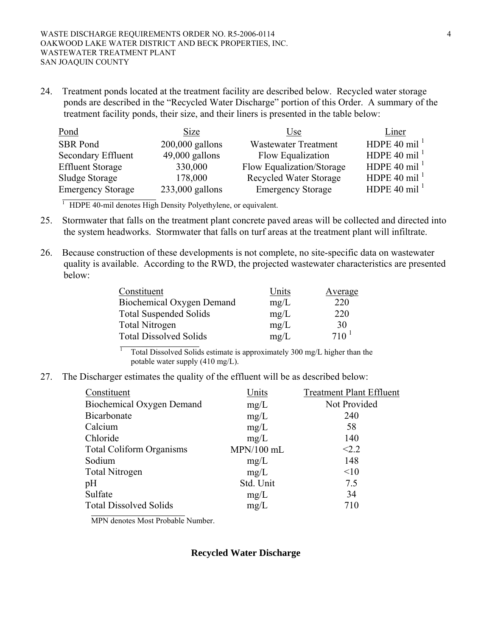24. Treatment ponds located at the treatment facility are described below. Recycled water storage ponds are described in the "Recycled Water Discharge" portion of this Order. A summary of the treatment facility ponds, their size, and their liners is presented in the table below:

| Pond                     | Size              | Use                           | Liner                    |
|--------------------------|-------------------|-------------------------------|--------------------------|
| <b>SBR</b> Pond          | $200,000$ gallons | <b>Wastewater Treatment</b>   | HDPE 40 mil <sup>1</sup> |
| Secondary Effluent       | $49,000$ gallons  | Flow Equalization             | HDPE 40 mil <sup>1</sup> |
| <b>Effluent Storage</b>  | 330,000           | Flow Equalization/Storage     | HDPE 40 mil <sup>1</sup> |
| Sludge Storage           | 178,000           | <b>Recycled Water Storage</b> | HDPE 40 mil <sup>1</sup> |
| <b>Emergency Storage</b> | $233,000$ gallons | <b>Emergency Storage</b>      | HDPE 40 mil <sup>1</sup> |

<sup>1</sup> HDPE 40-mil denotes High Density Polyethylene, or equivalent.

- 25. Stormwater that falls on the treatment plant concrete paved areas will be collected and directed into the system headworks. Stormwater that falls on turf areas at the treatment plant will infiltrate.
- 26. Because construction of these developments is not complete, no site-specific data on wastewater quality is available. According to the RWD, the projected wastewater characteristics are presented below:

| Constituent                   | Units | Average   |
|-------------------------------|-------|-----------|
| Biochemical Oxygen Demand     | mg/L  | 220       |
| <b>Total Suspended Solids</b> | mg/L  | 220       |
| <b>Total Nitrogen</b>         | mg/L  | 30        |
| <b>Total Dissolved Solids</b> | mg/L  | $710^{1}$ |

 Total Dissolved Solids estimate is approximately 300 mg/L higher than the potable water supply (410 mg/L).

27. The Discharger estimates the quality of the effluent will be as described below:

| Constituent                      | Units        | <b>Treatment Plant Effluent</b> |
|----------------------------------|--------------|---------------------------------|
| <b>Biochemical Oxygen Demand</b> | mg/L         | Not Provided                    |
| Bicarbonate                      | mg/L         | 240                             |
| Calcium                          | mg/L         | 58                              |
| Chloride                         | mg/L         | 140                             |
| <b>Total Coliform Organisms</b>  | $MPN/100$ mL | < 2.2                           |
| Sodium                           | mg/L         | 148                             |
| <b>Total Nitrogen</b>            | mg/L         | <10                             |
| pH                               | Std. Unit    | 7.5                             |
| Sulfate                          | mg/L         | 34                              |
| <b>Total Dissolved Solids</b>    | mg/L         | 710                             |

MPN denotes Most Probable Number.

1

#### **Recycled Water Discharge**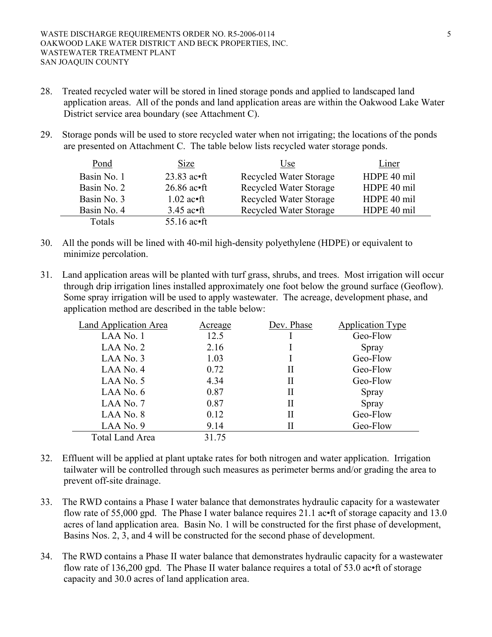- 28. Treated recycled water will be stored in lined storage ponds and applied to landscaped land application areas. All of the ponds and land application areas are within the Oakwood Lake Water District service area boundary (see Attachment C).
- 29. Storage ponds will be used to store recycled water when not irrigating; the locations of the ponds are presented on Attachment C. The table below lists recycled water storage ponds.

| Pond        | Size                          | Use                           | Liner       |
|-------------|-------------------------------|-------------------------------|-------------|
| Basin No. 1 | $23.83$ ac $\bullet$ ft       | Recycled Water Storage        | HDPE 40 mil |
| Basin No. 2 | $26.86$ ac•ft                 | <b>Recycled Water Storage</b> | HDPE 40 mil |
| Basin No. 3 | $1.02$ ac•ft                  | <b>Recycled Water Storage</b> | HDPE 40 mil |
| Basin No. 4 | $3.45$ ac•ft                  | <b>Recycled Water Storage</b> | HDPE 40 mil |
| Totals      | 55.16 $\mathrm{ac\text{-}ft}$ |                               |             |

- 30. All the ponds will be lined with 40-mil high-density polyethylene (HDPE) or equivalent to minimize percolation.
- 31. Land application areas will be planted with turf grass, shrubs, and trees. Most irrigation will occur through drip irrigation lines installed approximately one foot below the ground surface (Geoflow). Some spray irrigation will be used to apply wastewater. The acreage, development phase, and application method are described in the table below:

| Land Application Area  | Acreage | Dev. Phase | <b>Application Type</b> |
|------------------------|---------|------------|-------------------------|
| LAA No. 1              | 12.5    |            | Geo-Flow                |
| LAA No. 2              | 2.16    |            | Spray                   |
| LAA No. $3$            | 1.03    |            | Geo-Flow                |
| LAA No. 4              | 0.72    | П          | Geo-Flow                |
| LAA No. $5$            | 4.34    | П          | Geo-Flow                |
| LAA No. $6$            | 0.87    | Н          | Spray                   |
| LAA No. 7              | 0.87    | П          | Spray                   |
| LAA No. 8              | 0.12    | П          | Geo-Flow                |
| $LAA$ No. 9            | 9.14    | П          | Geo-Flow                |
| <b>Total Land Area</b> | 31.75   |            |                         |

- 32. Effluent will be applied at plant uptake rates for both nitrogen and water application. Irrigation tailwater will be controlled through such measures as perimeter berms and/or grading the area to prevent off-site drainage.
- 33. The RWD contains a Phase I water balance that demonstrates hydraulic capacity for a wastewater flow rate of 55,000 gpd. The Phase I water balance requires 21.1 ac•ft of storage capacity and 13.0 acres of land application area. Basin No. 1 will be constructed for the first phase of development, Basins Nos. 2, 3, and 4 will be constructed for the second phase of development.
- 34. The RWD contains a Phase II water balance that demonstrates hydraulic capacity for a wastewater flow rate of 136,200 gpd. The Phase II water balance requires a total of 53.0 ac•ft of storage capacity and 30.0 acres of land application area.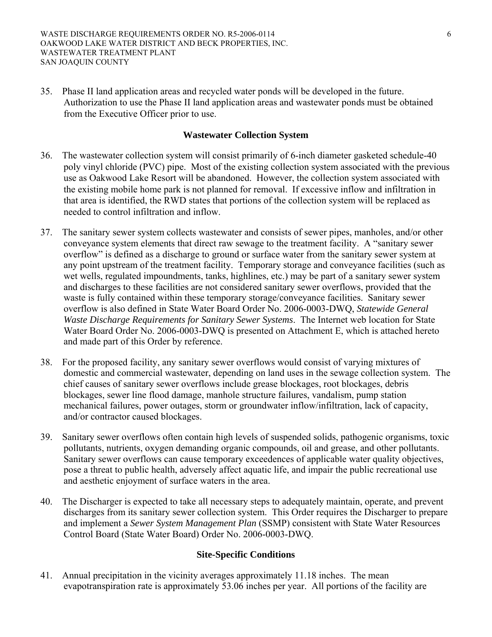35. Phase II land application areas and recycled water ponds will be developed in the future. Authorization to use the Phase II land application areas and wastewater ponds must be obtained from the Executive Officer prior to use.

## **Wastewater Collection System**

- 36. The wastewater collection system will consist primarily of 6-inch diameter gasketed schedule-40 poly vinyl chloride (PVC) pipe. Most of the existing collection system associated with the previous use as Oakwood Lake Resort will be abandoned. However, the collection system associated with the existing mobile home park is not planned for removal. If excessive inflow and infiltration in that area is identified, the RWD states that portions of the collection system will be replaced as needed to control infiltration and inflow.
- 37. The sanitary sewer system collects wastewater and consists of sewer pipes, manholes, and/or other conveyance system elements that direct raw sewage to the treatment facility. A "sanitary sewer overflow" is defined as a discharge to ground or surface water from the sanitary sewer system at any point upstream of the treatment facility. Temporary storage and conveyance facilities (such as wet wells, regulated impoundments, tanks, highlines, etc.) may be part of a sanitary sewer system and discharges to these facilities are not considered sanitary sewer overflows, provided that the waste is fully contained within these temporary storage/conveyance facilities. Sanitary sewer overflow is also defined in State Water Board Order No. 2006-0003-DWQ, *Statewide General Waste Discharge Requirements for Sanitary Sewer Systems*. The Internet web location for State Water Board Order No. 2006-0003-DWQ is presented on Attachment E, which is attached hereto and made part of this Order by reference.
- 38. For the proposed facility, any sanitary sewer overflows would consist of varying mixtures of domestic and commercial wastewater, depending on land uses in the sewage collection system. The chief causes of sanitary sewer overflows include grease blockages, root blockages, debris blockages, sewer line flood damage, manhole structure failures, vandalism, pump station mechanical failures, power outages, storm or groundwater inflow/infiltration, lack of capacity, and/or contractor caused blockages.
- 39. Sanitary sewer overflows often contain high levels of suspended solids, pathogenic organisms, toxic pollutants, nutrients, oxygen demanding organic compounds, oil and grease, and other pollutants. Sanitary sewer overflows can cause temporary exceedences of applicable water quality objectives, pose a threat to public health, adversely affect aquatic life, and impair the public recreational use and aesthetic enjoyment of surface waters in the area.
- 40. The Discharger is expected to take all necessary steps to adequately maintain, operate, and prevent discharges from its sanitary sewer collection system. This Order requires the Discharger to prepare and implement a *Sewer System Management Plan* (SSMP) consistent with State Water Resources Control Board (State Water Board) Order No. 2006-0003-DWQ.

## **Site-Specific Conditions**

41. Annual precipitation in the vicinity averages approximately 11.18 inches. The mean evapotranspiration rate is approximately 53.06 inches per year. All portions of the facility are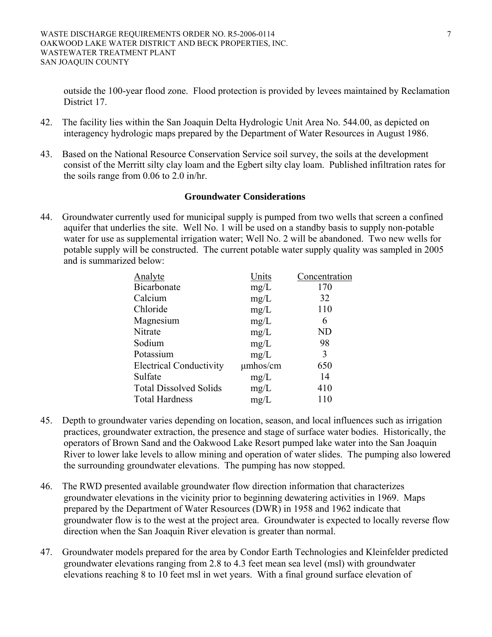outside the 100-year flood zone. Flood protection is provided by levees maintained by Reclamation District 17.

- 42. The facility lies within the San Joaquin Delta Hydrologic Unit Area No. 544.00, as depicted on interagency hydrologic maps prepared by the Department of Water Resources in August 1986.
- 43. Based on the National Resource Conservation Service soil survey, the soils at the development consist of the Merritt silty clay loam and the Egbert silty clay loam. Published infiltration rates for the soils range from 0.06 to 2.0 in/hr.

## **Groundwater Considerations**

44. Groundwater currently used for municipal supply is pumped from two wells that screen a confined aquifer that underlies the site. Well No. 1 will be used on a standby basis to supply non-potable water for use as supplemental irrigation water; Well No. 2 will be abandoned. Two new wells for potable supply will be constructed. The current potable water supply quality was sampled in 2005 and is summarized below:

| Analyte                        | Units         | Concentration |
|--------------------------------|---------------|---------------|
| Bicarbonate                    | mg/L          | 170           |
| Calcium                        | mg/L          | 32            |
| Chloride                       | mg/L          | 110           |
| Magnesium                      | mg/L          | 6             |
| Nitrate                        | mg/L          | ND            |
| Sodium                         | mg/L          | 98            |
| Potassium                      | mg/L          | 3             |
| <b>Electrical Conductivity</b> | $\mu$ mhos/cm | 650           |
| Sulfate                        | mg/L          | 14            |
| <b>Total Dissolved Solids</b>  | mg/L          | 410           |
| <b>Total Hardness</b>          | mg/L          | 110           |

- 45. Depth to groundwater varies depending on location, season, and local influences such as irrigation practices, groundwater extraction, the presence and stage of surface water bodies. Historically, the operators of Brown Sand and the Oakwood Lake Resort pumped lake water into the San Joaquin River to lower lake levels to allow mining and operation of water slides. The pumping also lowered the surrounding groundwater elevations. The pumping has now stopped.
- 46. The RWD presented available groundwater flow direction information that characterizes groundwater elevations in the vicinity prior to beginning dewatering activities in 1969. Maps prepared by the Department of Water Resources (DWR) in 1958 and 1962 indicate that groundwater flow is to the west at the project area. Groundwater is expected to locally reverse flow direction when the San Joaquin River elevation is greater than normal.
- 47. Groundwater models prepared for the area by Condor Earth Technologies and Kleinfelder predicted groundwater elevations ranging from 2.8 to 4.3 feet mean sea level (msl) with groundwater elevations reaching 8 to 10 feet msl in wet years. With a final ground surface elevation of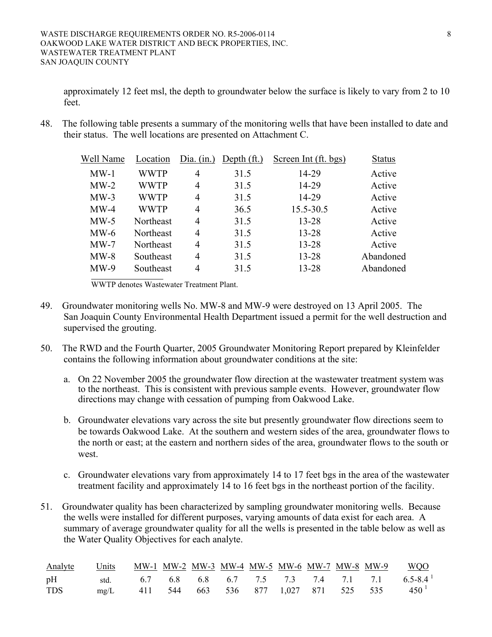approximately 12 feet msl, the depth to groundwater below the surface is likely to vary from 2 to 10 feet

48. The following table presents a summary of the monitoring wells that have been installed to date and their status. The well locations are presented on Attachment C.

| Well Name | Location    | Dia. $(in.)$   | Depth $({\rm ft.})$ | Screen Int (ft. bgs) | <b>Status</b> |
|-----------|-------------|----------------|---------------------|----------------------|---------------|
| $MW-1$    | <b>WWTP</b> | $\overline{4}$ | 31.5                | 14-29                | Active        |
| $MW-2$    | <b>WWTP</b> | $\overline{4}$ | 31.5                | 14-29                | Active        |
| $MW-3$    | <b>WWTP</b> | 4              | 31.5                | 14-29                | Active        |
| $MW-4$    | <b>WWTP</b> | 4              | 36.5                | 15.5-30.5            | Active        |
| $MW-5$    | Northeast   | $\overline{4}$ | 31.5                | 13-28                | Active        |
| $MW-6$    | Northeast   | $\overline{4}$ | 31.5                | 13-28                | Active        |
| $MW-7$    | Northeast   | $\overline{4}$ | 31.5                | 13-28                | Active        |
| $MW-8$    | Southeast   | 4              | 31.5                | 13-28                | Abandoned     |
| $MW-9$    | Southeast   | 4              | 31.5                | 13-28                | Abandoned     |

WWTP denotes Wastewater Treatment Plant.

- 49. Groundwater monitoring wells No. MW-8 and MW-9 were destroyed on 13 April 2005. The San Joaquin County Environmental Health Department issued a permit for the well destruction and supervised the grouting.
- 50. The RWD and the Fourth Quarter, 2005 Groundwater Monitoring Report prepared by Kleinfelder contains the following information about groundwater conditions at the site:
	- a. On 22 November 2005 the groundwater flow direction at the wastewater treatment system was to the northeast. This is consistent with previous sample events. However, groundwater flow directions may change with cessation of pumping from Oakwood Lake.
	- b. Groundwater elevations vary across the site but presently groundwater flow directions seem to be towards Oakwood Lake. At the southern and western sides of the area, groundwater flows to the north or east; at the eastern and northern sides of the area, groundwater flows to the south or west.
	- c. Groundwater elevations vary from approximately 14 to 17 feet bgs in the area of the wastewater treatment facility and approximately 14 to 16 feet bgs in the northeast portion of the facility.
- 51. Groundwater quality has been characterized by sampling groundwater monitoring wells. Because the wells were installed for different purposes, varying amounts of data exist for each area. A summary of average groundwater quality for all the wells is presented in the table below as well as the Water Quality Objectives for each analyte.

| <b>Analyte</b> |  |  |  |  |  | <u>Units MW-1 MW-2 MW-3 MW-4 MW-5 MW-6 MW-7 MW-8 MW-9 WQO</u>                     |
|----------------|--|--|--|--|--|-----------------------------------------------------------------------------------|
| pH             |  |  |  |  |  | std. $6.7$ $6.8$ $6.8$ $6.7$ $7.5$ $7.3$ $7.4$ $7.1$ $7.1$ $6.5-8.4$ <sup>1</sup> |
| <b>TDS</b>     |  |  |  |  |  | mg/L 411 544 663 536 877 1,027 871 525 535 450 <sup>1</sup>                       |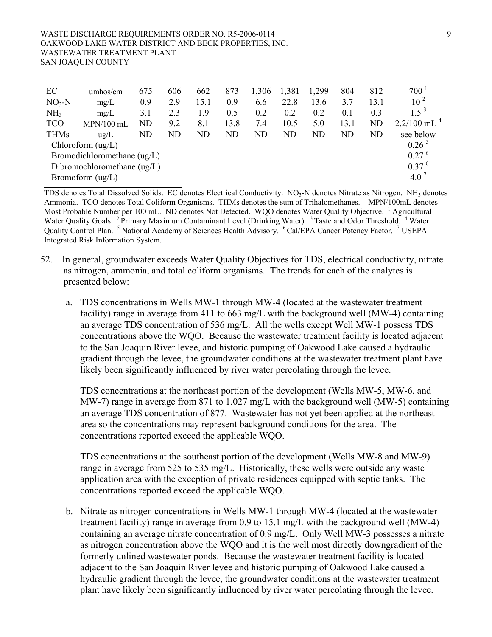#### WASTE DISCHARGE REQUIREMENTS ORDER NO. R5-2006-0114 9 OAKWOOD LAKE WATER DISTRICT AND BECK PROPERTIES, INC. WASTEWATER TREATMENT PLANT SAN JOAQUIN COUNTY

| EC                                                                     | umhos/cm                                          | 675 | 606 | 662  | 873  | 1,306 | 1,381 | 1,299 | 804  | 812       | $700^{\degree}$     |
|------------------------------------------------------------------------|---------------------------------------------------|-----|-----|------|------|-------|-------|-------|------|-----------|---------------------|
| $NO3-N$                                                                | mg/L                                              | 0.9 | 2.9 | 15.1 | 0.9  | 6.6   | 22.8  | 13.6  | 3.7  | 13.1      | 10 <sup>2</sup>     |
| NH <sub>3</sub>                                                        | mg/L                                              | 3.1 | 2.3 | 1.9  | 0.5  | 0.2   | 0.2   | 0.2   | 0.1  | 0.3       | $1\,5^{3}$          |
| <b>TCO</b>                                                             | $MPN/100$ mL                                      | ND  | 9.2 | 8.1  | 13.8 | 7.4   | 10.5  | 5.0   | 13.1 | <b>ND</b> | $2.2/100$ mL $^{4}$ |
| <b>THMs</b>                                                            | $u\alpha/L$                                       | ND  | ND  | ND   | ND   | ND    | ND    | ND    | ND   | ND        | see below           |
| $0.26^{\circ}$<br>Chloroform $\left(\frac{u g}{L}\right)$              |                                                   |     |     |      |      |       |       |       |      |           |                     |
|                                                                        | Bromodichloromethane $\left(\frac{u g}{L}\right)$ |     |     |      |      |       |       |       |      |           | 0.27 <sup>6</sup>   |
| 0.37 <sup>6</sup><br>Dibromochloromethane $\left(\frac{u g}{L}\right)$ |                                                   |     |     |      |      |       |       |       |      |           |                     |
|                                                                        | Bromoform $\left(\frac{u g}{L}\right)$            |     |     |      |      |       |       |       |      |           | 4.0                 |

TDS denotes Total Dissolved Solids. EC denotes Electrical Conductivity.  $NO<sub>3</sub>-N$  denotes Nitrate as Nitrogen. NH $<sub>3</sub>$  denotes</sub> Ammonia. TCO denotes Total Coliform Organisms. THMs denotes the sum of Trihalomethanes. MPN/100mL denotes Most Probable Number per 100 mL. ND denotes Not Detected. WQO denotes Water Quality Objective. <sup>1</sup> Agricultural Water Quality Goals. <sup>2</sup> Primary Maximum Contaminant Level (Drinking Water). <sup>3</sup> Taste and Odor Threshold. <sup>4</sup> Water Quality Control Plan. <sup>5</sup> National Academy of Sciences Health Advisory. <sup>6</sup> Cal/EPA Cancer Potency Factor. <sup>7</sup> USEPA Integrated Risk Information System.

- 52. In general, groundwater exceeds Water Quality Objectives for TDS, electrical conductivity, nitrate as nitrogen, ammonia, and total coliform organisms. The trends for each of the analytes is presented below:
	- a. TDS concentrations in Wells MW-1 through MW-4 (located at the wastewater treatment facility) range in average from 411 to 663 mg/L with the background well (MW-4) containing an average TDS concentration of 536 mg/L. All the wells except Well MW-1 possess TDS concentrations above the WQO. Because the wastewater treatment facility is located adjacent to the San Joaquin River levee, and historic pumping of Oakwood Lake caused a hydraulic gradient through the levee, the groundwater conditions at the wastewater treatment plant have likely been significantly influenced by river water percolating through the levee.

TDS concentrations at the northeast portion of the development (Wells MW-5, MW-6, and MW-7) range in average from 871 to 1,027 mg/L with the background well (MW-5) containing an average TDS concentration of 877. Wastewater has not yet been applied at the northeast area so the concentrations may represent background conditions for the area. The concentrations reported exceed the applicable WQO.

TDS concentrations at the southeast portion of the development (Wells MW-8 and MW-9) range in average from 525 to 535 mg/L. Historically, these wells were outside any waste application area with the exception of private residences equipped with septic tanks. The concentrations reported exceed the applicable WQO.

b. Nitrate as nitrogen concentrations in Wells MW-1 through MW-4 (located at the wastewater treatment facility) range in average from 0.9 to 15.1 mg/L with the background well (MW-4) containing an average nitrate concentration of 0.9 mg/L. Only Well MW-3 possesses a nitrate as nitrogen concentration above the WQO and it is the well most directly downgradient of the formerly unlined wastewater ponds. Because the wastewater treatment facility is located adjacent to the San Joaquin River levee and historic pumping of Oakwood Lake caused a hydraulic gradient through the levee, the groundwater conditions at the wastewater treatment plant have likely been significantly influenced by river water percolating through the levee.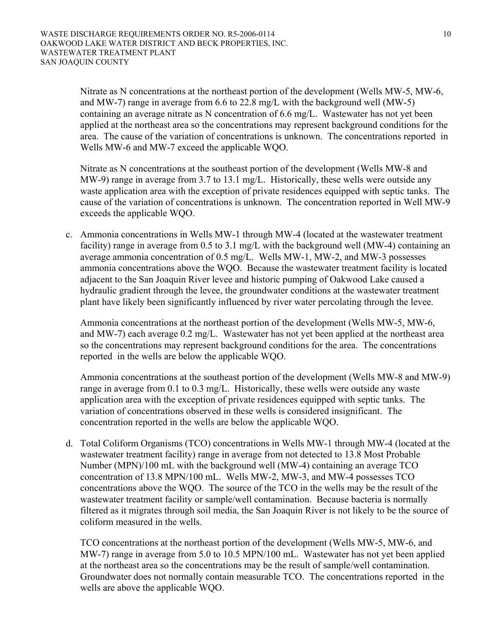Nitrate as N concentrations at the northeast portion of the development (Wells MW-5, MW-6, and MW-7) range in average from 6.6 to 22.8 mg/L with the background well (MW-5) containing an average nitrate as N concentration of 6.6 mg/L. Wastewater has not yet been applied at the northeast area so the concentrations may represent background conditions for the area. The cause of the variation of concentrations is unknown. The concentrations reported in Wells MW-6 and MW-7 exceed the applicable WQO.

Nitrate as N concentrations at the southeast portion of the development (Wells MW-8 and MW-9) range in average from 3.7 to 13.1 mg/L. Historically, these wells were outside any waste application area with the exception of private residences equipped with septic tanks. The cause of the variation of concentrations is unknown. The concentration reported in Well MW-9 exceeds the applicable WQO.

c. Ammonia concentrations in Wells MW-1 through MW-4 (located at the wastewater treatment facility) range in average from 0.5 to 3.1 mg/L with the background well (MW-4) containing an average ammonia concentration of 0.5 mg/L. Wells MW-1, MW-2, and MW-3 possesses ammonia concentrations above the WQO. Because the wastewater treatment facility is located adjacent to the San Joaquin River levee and historic pumping of Oakwood Lake caused a hydraulic gradient through the levee, the groundwater conditions at the wastewater treatment plant have likely been significantly influenced by river water percolating through the levee.

Ammonia concentrations at the northeast portion of the development (Wells MW-5, MW-6, and MW-7) each average 0.2 mg/L. Wastewater has not yet been applied at the northeast area so the concentrations may represent background conditions for the area. The concentrations reported in the wells are below the applicable WQO.

Ammonia concentrations at the southeast portion of the development (Wells MW-8 and MW-9) range in average from 0.1 to 0.3 mg/L. Historically, these wells were outside any waste application area with the exception of private residences equipped with septic tanks. The variation of concentrations observed in these wells is considered insignificant. The concentration reported in the wells are below the applicable WQO.

d. Total Coliform Organisms (TCO) concentrations in Wells MW-1 through MW-4 (located at the wastewater treatment facility) range in average from not detected to 13.8 Most Probable Number (MPN)/100 mL with the background well (MW-4) containing an average TCO concentration of 13.8 MPN/100 mL. Wells MW-2, MW-3, and MW-4 possesses TCO concentrations above the WQO. The source of the TCO in the wells may be the result of the wastewater treatment facility or sample/well contamination. Because bacteria is normally filtered as it migrates through soil media, the San Joaquin River is not likely to be the source of coliform measured in the wells.

TCO concentrations at the northeast portion of the development (Wells MW-5, MW-6, and MW-7) range in average from 5.0 to 10.5 MPN/100 mL. Wastewater has not yet been applied at the northeast area so the concentrations may be the result of sample/well contamination. Groundwater does not normally contain measurable TCO. The concentrations reported in the wells are above the applicable WQO.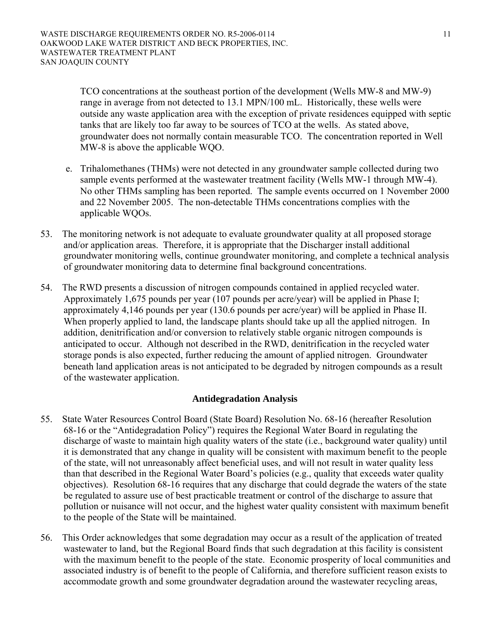TCO concentrations at the southeast portion of the development (Wells MW-8 and MW-9) range in average from not detected to 13.1 MPN/100 mL. Historically, these wells were outside any waste application area with the exception of private residences equipped with septic tanks that are likely too far away to be sources of TCO at the wells. As stated above, groundwater does not normally contain measurable TCO. The concentration reported in Well MW-8 is above the applicable WQO.

- e. Trihalomethanes (THMs) were not detected in any groundwater sample collected during two sample events performed at the wastewater treatment facility (Wells MW-1 through MW-4). No other THMs sampling has been reported. The sample events occurred on 1 November 2000 and 22 November 2005. The non-detectable THMs concentrations complies with the applicable WQOs.
- 53. The monitoring network is not adequate to evaluate groundwater quality at all proposed storage and/or application areas. Therefore, it is appropriate that the Discharger install additional groundwater monitoring wells, continue groundwater monitoring, and complete a technical analysis of groundwater monitoring data to determine final background concentrations.
- 54. The RWD presents a discussion of nitrogen compounds contained in applied recycled water. Approximately 1,675 pounds per year (107 pounds per acre/year) will be applied in Phase I; approximately 4,146 pounds per year (130.6 pounds per acre/year) will be applied in Phase II. When properly applied to land, the landscape plants should take up all the applied nitrogen. In addition, denitrification and/or conversion to relatively stable organic nitrogen compounds is anticipated to occur. Although not described in the RWD, denitrification in the recycled water storage ponds is also expected, further reducing the amount of applied nitrogen. Groundwater beneath land application areas is not anticipated to be degraded by nitrogen compounds as a result of the wastewater application.

## **Antidegradation Analysis**

- 55. State Water Resources Control Board (State Board) Resolution No. 68-16 (hereafter Resolution 68-16 or the "Antidegradation Policy") requires the Regional Water Board in regulating the discharge of waste to maintain high quality waters of the state (i.e., background water quality) until it is demonstrated that any change in quality will be consistent with maximum benefit to the people of the state, will not unreasonably affect beneficial uses, and will not result in water quality less than that described in the Regional Water Board's policies (e.g., quality that exceeds water quality objectives). Resolution 68-16 requires that any discharge that could degrade the waters of the state be regulated to assure use of best practicable treatment or control of the discharge to assure that pollution or nuisance will not occur, and the highest water quality consistent with maximum benefit to the people of the State will be maintained.
- 56. This Order acknowledges that some degradation may occur as a result of the application of treated wastewater to land, but the Regional Board finds that such degradation at this facility is consistent with the maximum benefit to the people of the state. Economic prosperity of local communities and associated industry is of benefit to the people of California, and therefore sufficient reason exists to accommodate growth and some groundwater degradation around the wastewater recycling areas,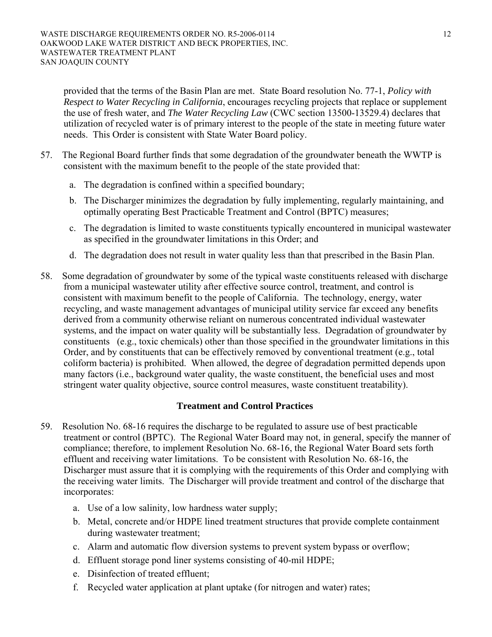provided that the terms of the Basin Plan are met. State Board resolution No. 77-1, *Policy with Respect to Water Recycling in California*, encourages recycling projects that replace or supplement the use of fresh water, and *The Water Recycling Law* (CWC section 13500-13529.4) declares that utilization of recycled water is of primary interest to the people of the state in meeting future water needs. This Order is consistent with State Water Board policy.

- 57. The Regional Board further finds that some degradation of the groundwater beneath the WWTP is consistent with the maximum benefit to the people of the state provided that:
	- a. The degradation is confined within a specified boundary;
	- b. The Discharger minimizes the degradation by fully implementing, regularly maintaining, and optimally operating Best Practicable Treatment and Control (BPTC) measures;
	- c. The degradation is limited to waste constituents typically encountered in municipal wastewater as specified in the groundwater limitations in this Order; and
	- d. The degradation does not result in water quality less than that prescribed in the Basin Plan.
- 58. Some degradation of groundwater by some of the typical waste constituents released with discharge from a municipal wastewater utility after effective source control, treatment, and control is consistent with maximum benefit to the people of California. The technology, energy, water recycling, and waste management advantages of municipal utility service far exceed any benefits derived from a community otherwise reliant on numerous concentrated individual wastewater systems, and the impact on water quality will be substantially less. Degradation of groundwater by constituents (e.g., toxic chemicals) other than those specified in the groundwater limitations in this Order, and by constituents that can be effectively removed by conventional treatment (e.g., total coliform bacteria) is prohibited. When allowed, the degree of degradation permitted depends upon many factors (i.e., background water quality, the waste constituent, the beneficial uses and most stringent water quality objective, source control measures, waste constituent treatability).

## **Treatment and Control Practices**

- 59. Resolution No. 68-16 requires the discharge to be regulated to assure use of best practicable treatment or control (BPTC). The Regional Water Board may not, in general, specify the manner of compliance; therefore, to implement Resolution No. 68-16, the Regional Water Board sets forth effluent and receiving water limitations. To be consistent with Resolution No. 68-16, the Discharger must assure that it is complying with the requirements of this Order and complying with the receiving water limits. The Discharger will provide treatment and control of the discharge that incorporates:
	- a. Use of a low salinity, low hardness water supply;
	- b. Metal, concrete and/or HDPE lined treatment structures that provide complete containment during wastewater treatment;
	- c. Alarm and automatic flow diversion systems to prevent system bypass or overflow;
	- d. Effluent storage pond liner systems consisting of 40-mil HDPE;
	- e. Disinfection of treated effluent;
	- f. Recycled water application at plant uptake (for nitrogen and water) rates;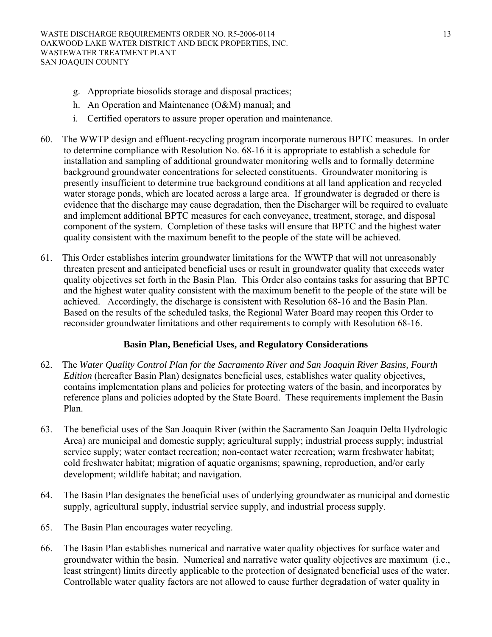- g. Appropriate biosolids storage and disposal practices;
- h. An Operation and Maintenance (O&M) manual; and
- i. Certified operators to assure proper operation and maintenance.
- 60. The WWTP design and effluent-recycling program incorporate numerous BPTC measures. In order to determine compliance with Resolution No. 68-16 it is appropriate to establish a schedule for installation and sampling of additional groundwater monitoring wells and to formally determine background groundwater concentrations for selected constituents. Groundwater monitoring is presently insufficient to determine true background conditions at all land application and recycled water storage ponds, which are located across a large area. If groundwater is degraded or there is evidence that the discharge may cause degradation, then the Discharger will be required to evaluate and implement additional BPTC measures for each conveyance, treatment, storage, and disposal component of the system. Completion of these tasks will ensure that BPTC and the highest water quality consistent with the maximum benefit to the people of the state will be achieved.
- 61. This Order establishes interim groundwater limitations for the WWTP that will not unreasonably threaten present and anticipated beneficial uses or result in groundwater quality that exceeds water quality objectives set forth in the Basin Plan. This Order also contains tasks for assuring that BPTC and the highest water quality consistent with the maximum benefit to the people of the state will be achieved. Accordingly, the discharge is consistent with Resolution 68-16 and the Basin Plan. Based on the results of the scheduled tasks, the Regional Water Board may reopen this Order to reconsider groundwater limitations and other requirements to comply with Resolution 68-16.

## **Basin Plan, Beneficial Uses, and Regulatory Considerations**

- 62. The *Water Quality Control Plan for the Sacramento River and San Joaquin River Basins, Fourth Edition* (hereafter Basin Plan) designates beneficial uses, establishes water quality objectives, contains implementation plans and policies for protecting waters of the basin, and incorporates by reference plans and policies adopted by the State Board. These requirements implement the Basin Plan.
- 63. The beneficial uses of the San Joaquin River (within the Sacramento San Joaquin Delta Hydrologic Area) are municipal and domestic supply; agricultural supply; industrial process supply; industrial service supply; water contact recreation; non-contact water recreation; warm freshwater habitat; cold freshwater habitat; migration of aquatic organisms; spawning, reproduction, and/or early development; wildlife habitat; and navigation.
- 64. The Basin Plan designates the beneficial uses of underlying groundwater as municipal and domestic supply, agricultural supply, industrial service supply, and industrial process supply.
- 65. The Basin Plan encourages water recycling.
- 66. The Basin Plan establishes numerical and narrative water quality objectives for surface water and groundwater within the basin. Numerical and narrative water quality objectives are maximum (i.e., least stringent) limits directly applicable to the protection of designated beneficial uses of the water. Controllable water quality factors are not allowed to cause further degradation of water quality in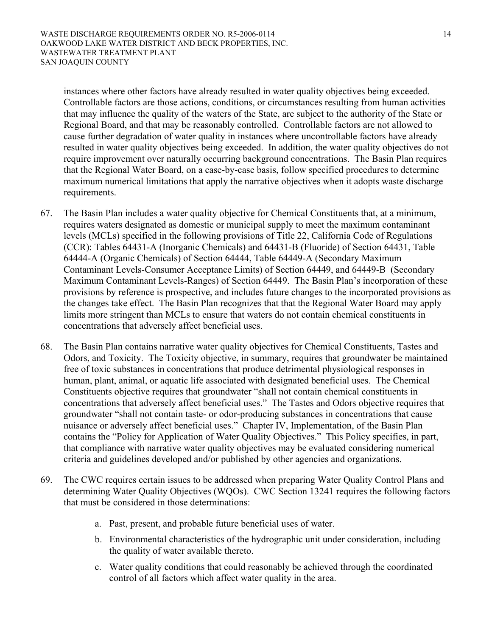instances where other factors have already resulted in water quality objectives being exceeded. Controllable factors are those actions, conditions, or circumstances resulting from human activities that may influence the quality of the waters of the State, are subject to the authority of the State or Regional Board, and that may be reasonably controlled. Controllable factors are not allowed to cause further degradation of water quality in instances where uncontrollable factors have already resulted in water quality objectives being exceeded. In addition, the water quality objectives do not require improvement over naturally occurring background concentrations. The Basin Plan requires that the Regional Water Board, on a case-by-case basis, follow specified procedures to determine maximum numerical limitations that apply the narrative objectives when it adopts waste discharge requirements.

- 67. The Basin Plan includes a water quality objective for Chemical Constituents that, at a minimum, requires waters designated as domestic or municipal supply to meet the maximum contaminant levels (MCLs) specified in the following provisions of Title 22, California Code of Regulations (CCR): Tables 64431-A (Inorganic Chemicals) and 64431-B (Fluoride) of Section 64431, Table 64444-A (Organic Chemicals) of Section 64444, Table 64449-A (Secondary Maximum Contaminant Levels-Consumer Acceptance Limits) of Section 64449, and 64449-B (Secondary Maximum Contaminant Levels-Ranges) of Section 64449. The Basin Plan's incorporation of these provisions by reference is prospective, and includes future changes to the incorporated provisions as the changes take effect. The Basin Plan recognizes that that the Regional Water Board may apply limits more stringent than MCLs to ensure that waters do not contain chemical constituents in concentrations that adversely affect beneficial uses.
- 68. The Basin Plan contains narrative water quality objectives for Chemical Constituents, Tastes and Odors, and Toxicity. The Toxicity objective, in summary, requires that groundwater be maintained free of toxic substances in concentrations that produce detrimental physiological responses in human, plant, animal, or aquatic life associated with designated beneficial uses. The Chemical Constituents objective requires that groundwater "shall not contain chemical constituents in concentrations that adversely affect beneficial uses." The Tastes and Odors objective requires that groundwater "shall not contain taste- or odor-producing substances in concentrations that cause nuisance or adversely affect beneficial uses." Chapter IV, Implementation, of the Basin Plan contains the "Policy for Application of Water Quality Objectives." This Policy specifies, in part, that compliance with narrative water quality objectives may be evaluated considering numerical criteria and guidelines developed and/or published by other agencies and organizations.
- 69. The CWC requires certain issues to be addressed when preparing Water Quality Control Plans and determining Water Quality Objectives (WQOs). CWC Section 13241 requires the following factors that must be considered in those determinations:
	- a. Past, present, and probable future beneficial uses of water.
	- b. Environmental characteristics of the hydrographic unit under consideration, including the quality of water available thereto.
	- c. Water quality conditions that could reasonably be achieved through the coordinated control of all factors which affect water quality in the area.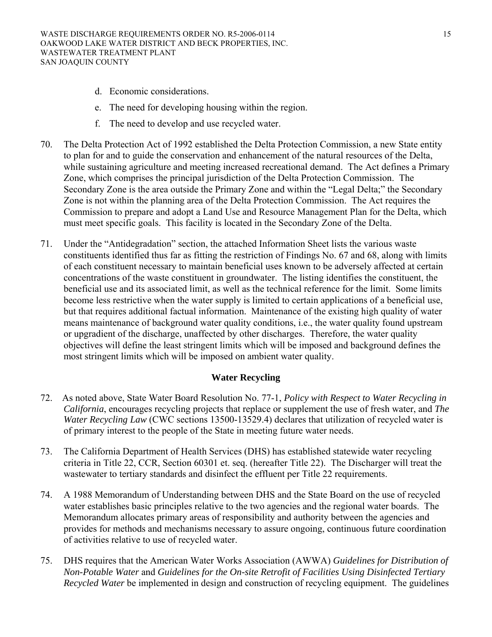- d. Economic considerations.
- e. The need for developing housing within the region.
- f. The need to develop and use recycled water.
- 70. The Delta Protection Act of 1992 established the Delta Protection Commission, a new State entity to plan for and to guide the conservation and enhancement of the natural resources of the Delta, while sustaining agriculture and meeting increased recreational demand. The Act defines a Primary Zone, which comprises the principal jurisdiction of the Delta Protection Commission. The Secondary Zone is the area outside the Primary Zone and within the "Legal Delta;" the Secondary Zone is not within the planning area of the Delta Protection Commission. The Act requires the Commission to prepare and adopt a Land Use and Resource Management Plan for the Delta, which must meet specific goals. This facility is located in the Secondary Zone of the Delta.
- 71. Under the "Antidegradation" section, the attached Information Sheet lists the various waste constituents identified thus far as fitting the restriction of Findings No. 67 and 68, along with limits of each constituent necessary to maintain beneficial uses known to be adversely affected at certain concentrations of the waste constituent in groundwater. The listing identifies the constituent, the beneficial use and its associated limit, as well as the technical reference for the limit. Some limits become less restrictive when the water supply is limited to certain applications of a beneficial use, but that requires additional factual information. Maintenance of the existing high quality of water means maintenance of background water quality conditions, i.e., the water quality found upstream or upgradient of the discharge, unaffected by other discharges. Therefore, the water quality objectives will define the least stringent limits which will be imposed and background defines the most stringent limits which will be imposed on ambient water quality.

## **Water Recycling**

- 72. As noted above, State Water Board Resolution No. 77-1, *Policy with Respect to Water Recycling in California*, encourages recycling projects that replace or supplement the use of fresh water, and *The Water Recycling Law* (CWC sections 13500-13529.4) declares that utilization of recycled water is of primary interest to the people of the State in meeting future water needs.
- 73. The California Department of Health Services (DHS) has established statewide water recycling criteria in Title 22, CCR, Section 60301 et. seq. (hereafter Title 22). The Discharger will treat the wastewater to tertiary standards and disinfect the effluent per Title 22 requirements.
- 74. A 1988 Memorandum of Understanding between DHS and the State Board on the use of recycled water establishes basic principles relative to the two agencies and the regional water boards. The Memorandum allocates primary areas of responsibility and authority between the agencies and provides for methods and mechanisms necessary to assure ongoing, continuous future coordination of activities relative to use of recycled water.
- 75. DHS requires that the American Water Works Association (AWWA) *Guidelines for Distribution of Non-Potable Water* and *Guidelines for the On-site Retrofit of Facilities Using Disinfected Tertiary Recycled Water* be implemented in design and construction of recycling equipment. The guidelines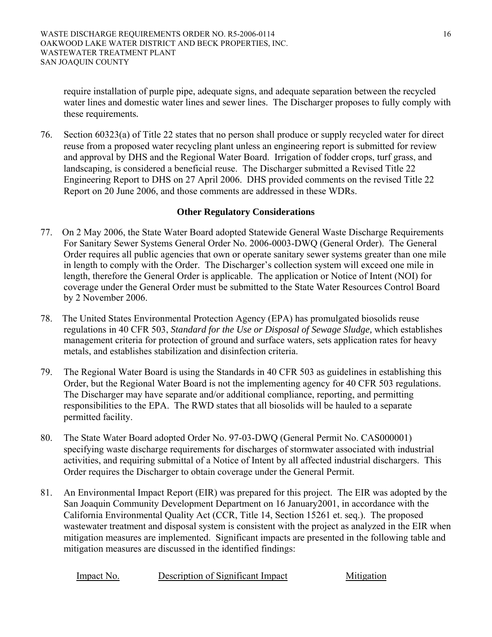require installation of purple pipe, adequate signs, and adequate separation between the recycled water lines and domestic water lines and sewer lines. The Discharger proposes to fully comply with these requirements*.*

76. Section 60323(a) of Title 22 states that no person shall produce or supply recycled water for direct reuse from a proposed water recycling plant unless an engineering report is submitted for review and approval by DHS and the Regional Water Board. Irrigation of fodder crops, turf grass, and landscaping, is considered a beneficial reuse. The Discharger submitted a Revised Title 22 Engineering Report to DHS on 27 April 2006. DHS provided comments on the revised Title 22 Report on 20 June 2006, and those comments are addressed in these WDRs.

## **Other Regulatory Considerations**

- 77. On 2 May 2006, the State Water Board adopted Statewide General Waste Discharge Requirements For Sanitary Sewer Systems General Order No. 2006-0003-DWQ (General Order). The General Order requires all public agencies that own or operate sanitary sewer systems greater than one mile in length to comply with the Order. The Discharger's collection system will exceed one mile in length, therefore the General Order is applicable. The application or Notice of Intent (NOI) for coverage under the General Order must be submitted to the State Water Resources Control Board by 2 November 2006.
- 78. The United States Environmental Protection Agency (EPA) has promulgated biosolids reuse regulations in 40 CFR 503, *Standard for the Use or Disposal of Sewage Sludge,* which establishes management criteria for protection of ground and surface waters, sets application rates for heavy metals, and establishes stabilization and disinfection criteria.
- 79. The Regional Water Board is using the Standards in 40 CFR 503 as guidelines in establishing this Order, but the Regional Water Board is not the implementing agency for 40 CFR 503 regulations. The Discharger may have separate and/or additional compliance, reporting, and permitting responsibilities to the EPA. The RWD states that all biosolids will be hauled to a separate permitted facility.
- 80. The State Water Board adopted Order No. 97-03-DWQ (General Permit No. CAS000001) specifying waste discharge requirements for discharges of stormwater associated with industrial activities, and requiring submittal of a Notice of Intent by all affected industrial dischargers. This Order requires the Discharger to obtain coverage under the General Permit.
- 81. An Environmental Impact Report (EIR) was prepared for this project. The EIR was adopted by the San Joaquin Community Development Department on 16 January2001, in accordance with the California Environmental Quality Act (CCR, Title 14, Section 15261 et. seq.). The proposed wastewater treatment and disposal system is consistent with the project as analyzed in the EIR when mitigation measures are implemented. Significant impacts are presented in the following table and mitigation measures are discussed in the identified findings:

Impact No. Description of Significant Impact Mitigation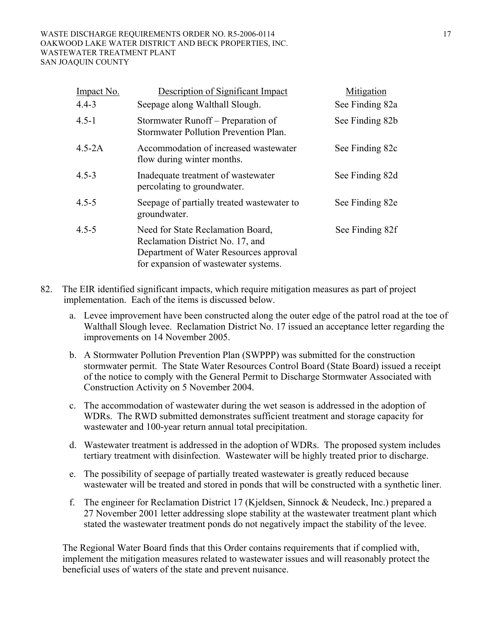#### WASTE DISCHARGE REQUIREMENTS ORDER NO. R5-2006-0114 17 OAKWOOD LAKE WATER DISTRICT AND BECK PROPERTIES, INC. WASTEWATER TREATMENT PLANT SAN JOAQUIN COUNTY

| Impact No. | Description of Significant Impact                                                                                                                       | Mitigation      |
|------------|---------------------------------------------------------------------------------------------------------------------------------------------------------|-----------------|
| $4.4 - 3$  | Seepage along Walthall Slough.                                                                                                                          | See Finding 82a |
| $4.5 - 1$  | Stormwater Runoff – Preparation of<br>Stormwater Pollution Prevention Plan.                                                                             | See Finding 82b |
| $4.5 - 2A$ | Accommodation of increased wastewater<br>flow during winter months.                                                                                     | See Finding 82c |
| $4.5 - 3$  | Inadequate treatment of wastewater<br>percolating to groundwater.                                                                                       | See Finding 82d |
| $4.5 - 5$  | Seepage of partially treated wastewater to<br>groundwater.                                                                                              | See Finding 82e |
| $4.5 - 5$  | Need for State Reclamation Board,<br>Reclamation District No. 17, and<br>Department of Water Resources approval<br>for expansion of wastewater systems. | See Finding 82f |

- 82. The EIR identified significant impacts, which require mitigation measures as part of project implementation. Each of the items is discussed below.
	- a. Levee improvement have been constructed along the outer edge of the patrol road at the toe of Walthall Slough levee. Reclamation District No. 17 issued an acceptance letter regarding the improvements on 14 November 2005.
	- b. A Stormwater Pollution Prevention Plan (SWPPP) was submitted for the construction stormwater permit. The State Water Resources Control Board (State Board) issued a receipt of the notice to comply with the General Permit to Discharge Stormwater Associated with Construction Activity on 5 November 2004.
	- c. The accommodation of wastewater during the wet season is addressed in the adoption of WDRs. The RWD submitted demonstrates sufficient treatment and storage capacity for wastewater and 100-year return annual total precipitation.
	- d. Wastewater treatment is addressed in the adoption of WDRs. The proposed system includes tertiary treatment with disinfection. Wastewater will be highly treated prior to discharge.
	- e. The possibility of seepage of partially treated wastewater is greatly reduced because wastewater will be treated and stored in ponds that will be constructed with a synthetic liner.
	- f. The engineer for Reclamation District 17 (Kjeldsen, Sinnock & Neudeck, Inc.) prepared a 27 November 2001 letter addressing slope stability at the wastewater treatment plant which stated the wastewater treatment ponds do not negatively impact the stability of the levee.

The Regional Water Board finds that this Order contains requirements that if complied with, implement the mitigation measures related to wastewater issues and will reasonably protect the beneficial uses of waters of the state and prevent nuisance.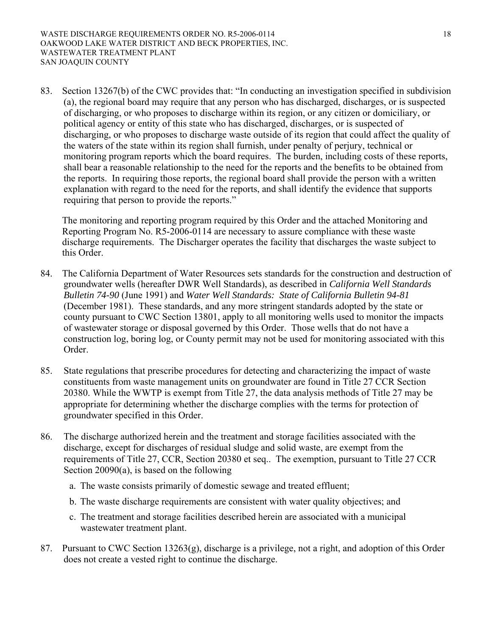83. Section 13267(b) of the CWC provides that: "In conducting an investigation specified in subdivision (a), the regional board may require that any person who has discharged, discharges, or is suspected of discharging, or who proposes to discharge within its region, or any citizen or domiciliary, or political agency or entity of this state who has discharged, discharges, or is suspected of discharging, or who proposes to discharge waste outside of its region that could affect the quality of the waters of the state within its region shall furnish, under penalty of perjury, technical or monitoring program reports which the board requires. The burden, including costs of these reports, shall bear a reasonable relationship to the need for the reports and the benefits to be obtained from the reports. In requiring those reports, the regional board shall provide the person with a written explanation with regard to the need for the reports, and shall identify the evidence that supports requiring that person to provide the reports."

The monitoring and reporting program required by this Order and the attached Monitoring and Reporting Program No. R5-2006-0114 are necessary to assure compliance with these waste discharge requirements. The Discharger operates the facility that discharges the waste subject to this Order.

- 84. The California Department of Water Resources sets standards for the construction and destruction of groundwater wells (hereafter DWR Well Standards), as described in *California Well Standards Bulletin 74-90* (June 1991) and *Water Well Standards: State of California Bulletin 94-81* (December 1981). These standards, and any more stringent standards adopted by the state or county pursuant to CWC Section 13801, apply to all monitoring wells used to monitor the impacts of wastewater storage or disposal governed by this Order. Those wells that do not have a construction log, boring log, or County permit may not be used for monitoring associated with this Order.
- 85. State regulations that prescribe procedures for detecting and characterizing the impact of waste constituents from waste management units on groundwater are found in Title 27 CCR Section 20380. While the WWTP is exempt from Title 27, the data analysis methods of Title 27 may be appropriate for determining whether the discharge complies with the terms for protection of groundwater specified in this Order.
- 86. The discharge authorized herein and the treatment and storage facilities associated with the discharge, except for discharges of residual sludge and solid waste, are exempt from the requirements of Title 27, CCR, Section 20380 et seq.. The exemption, pursuant to Title 27 CCR Section 20090(a), is based on the following
	- a. The waste consists primarily of domestic sewage and treated effluent;
	- b. The waste discharge requirements are consistent with water quality objectives; and
	- c. The treatment and storage facilities described herein are associated with a municipal wastewater treatment plant.
- 87. Pursuant to CWC Section 13263(g), discharge is a privilege, not a right, and adoption of this Order does not create a vested right to continue the discharge.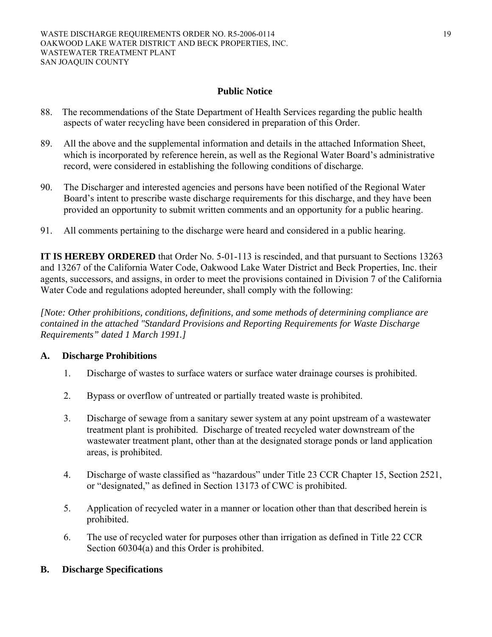## **Public Notice**

- 88. The recommendations of the State Department of Health Services regarding the public health aspects of water recycling have been considered in preparation of this Order.
- 89. All the above and the supplemental information and details in the attached Information Sheet, which is incorporated by reference herein, as well as the Regional Water Board's administrative record, were considered in establishing the following conditions of discharge.
- 90. The Discharger and interested agencies and persons have been notified of the Regional Water Board's intent to prescribe waste discharge requirements for this discharge, and they have been provided an opportunity to submit written comments and an opportunity for a public hearing.
- 91. All comments pertaining to the discharge were heard and considered in a public hearing.

**IT IS HEREBY ORDERED** that Order No. 5-01-113 is rescinded, and that pursuant to Sections 13263 and 13267 of the California Water Code, Oakwood Lake Water District and Beck Properties, Inc. their agents, successors, and assigns, in order to meet the provisions contained in Division 7 of the California Water Code and regulations adopted hereunder, shall comply with the following:

*[Note: Other prohibitions, conditions, definitions, and some methods of determining compliance are contained in the attached "Standard Provisions and Reporting Requirements for Waste Discharge Requirements" dated 1 March 1991.]*

## **A. Discharge Prohibitions**

- 1. Discharge of wastes to surface waters or surface water drainage courses is prohibited.
- 2. Bypass or overflow of untreated or partially treated waste is prohibited.
- 3. Discharge of sewage from a sanitary sewer system at any point upstream of a wastewater treatment plant is prohibited. Discharge of treated recycled water downstream of the wastewater treatment plant, other than at the designated storage ponds or land application areas, is prohibited.
- 4. Discharge of waste classified as "hazardous" under Title 23 CCR Chapter 15, Section 2521, or "designated," as defined in Section 13173 of CWC is prohibited.
- 5. Application of recycled water in a manner or location other than that described herein is prohibited.
- 6. The use of recycled water for purposes other than irrigation as defined in Title 22 CCR Section 60304(a) and this Order is prohibited.

## **B. Discharge Specifications**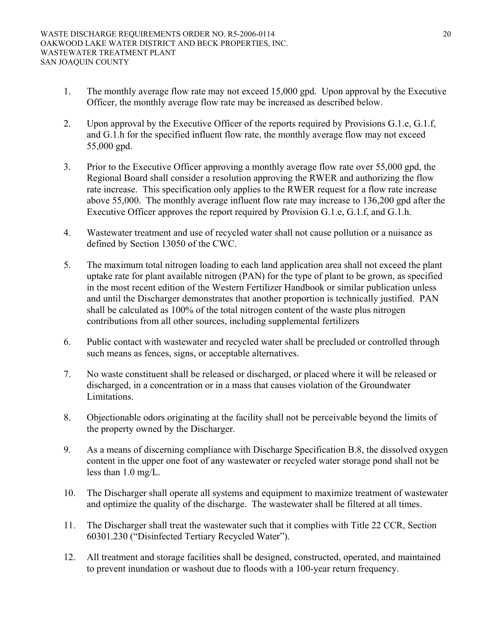- 1. The monthly average flow rate may not exceed 15,000 gpd. Upon approval by the Executive Officer, the monthly average flow rate may be increased as described below.
- 2. Upon approval by the Executive Officer of the reports required by Provisions G.1.e, G.1.f, and G.1.h for the specified influent flow rate, the monthly average flow may not exceed 55,000 gpd.
- 3. Prior to the Executive Officer approving a monthly average flow rate over 55,000 gpd, the Regional Board shall consider a resolution approving the RWER and authorizing the flow rate increase. This specification only applies to the RWER request for a flow rate increase above 55,000. The monthly average influent flow rate may increase to 136,200 gpd after the Executive Officer approves the report required by Provision G.1.e, G.1.f, and G.1.h.
- 4. Wastewater treatment and use of recycled water shall not cause pollution or a nuisance as defined by Section 13050 of the CWC.
- 5. The maximum total nitrogen loading to each land application area shall not exceed the plant uptake rate for plant available nitrogen (PAN) for the type of plant to be grown, as specified in the most recent edition of the Western Fertilizer Handbook or similar publication unless and until the Discharger demonstrates that another proportion is technically justified. PAN shall be calculated as 100% of the total nitrogen content of the waste plus nitrogen contributions from all other sources, including supplemental fertilizers
- 6. Public contact with wastewater and recycled water shall be precluded or controlled through such means as fences, signs, or acceptable alternatives.
- 7. No waste constituent shall be released or discharged, or placed where it will be released or discharged, in a concentration or in a mass that causes violation of the Groundwater Limitations.
- 8. Objectionable odors originating at the facility shall not be perceivable beyond the limits of the property owned by the Discharger.
- 9. As a means of discerning compliance with Discharge Specification B.8, the dissolved oxygen content in the upper one foot of any wastewater or recycled water storage pond shall not be less than 1.0 mg/L.
- 10. The Discharger shall operate all systems and equipment to maximize treatment of wastewater and optimize the quality of the discharge. The wastewater shall be filtered at all times.
- 11. The Discharger shall treat the wastewater such that it complies with Title 22 CCR, Section 60301.230 ("Disinfected Tertiary Recycled Water").
- 12. All treatment and storage facilities shall be designed, constructed, operated, and maintained to prevent inundation or washout due to floods with a 100-year return frequency.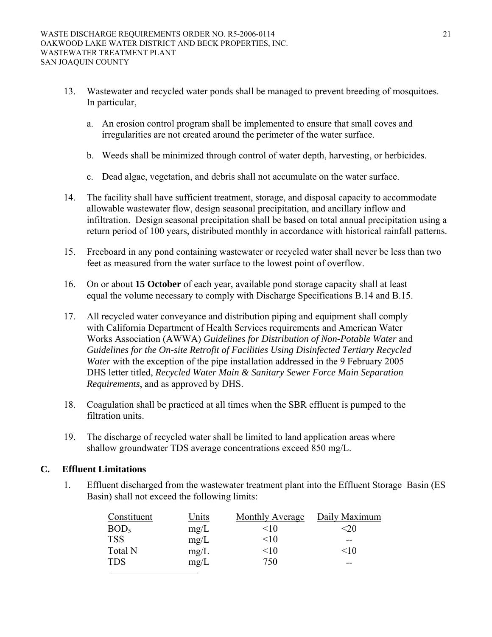- 13. Wastewater and recycled water ponds shall be managed to prevent breeding of mosquitoes. In particular,
	- a. An erosion control program shall be implemented to ensure that small coves and irregularities are not created around the perimeter of the water surface.
	- b. Weeds shall be minimized through control of water depth, harvesting, or herbicides.
	- c. Dead algae, vegetation, and debris shall not accumulate on the water surface.
- 14. The facility shall have sufficient treatment, storage, and disposal capacity to accommodate allowable wastewater flow, design seasonal precipitation, and ancillary inflow and infiltration. Design seasonal precipitation shall be based on total annual precipitation using a return period of 100 years, distributed monthly in accordance with historical rainfall patterns.
- 15. Freeboard in any pond containing wastewater or recycled water shall never be less than two feet as measured from the water surface to the lowest point of overflow.
- 16. On or about **15 October** of each year, available pond storage capacity shall at least equal the volume necessary to comply with Discharge Specifications B.14 and B.15.
- 17. All recycled water conveyance and distribution piping and equipment shall comply with California Department of Health Services requirements and American Water Works Association (AWWA) *Guidelines for Distribution of Non-Potable Water* and *Guidelines for the On-site Retrofit of Facilities Using Disinfected Tertiary Recycled Water* with the exception of the pipe installation addressed in the 9 February 2005 DHS letter titled, *Recycled Water Main & Sanitary Sewer Force Main Separation Requirements*, and as approved by DHS.
- 18. Coagulation shall be practiced at all times when the SBR effluent is pumped to the filtration units.
- 19. The discharge of recycled water shall be limited to land application areas where shallow groundwater TDS average concentrations exceed 850 mg/L.

## **C. Effluent Limitations**

1. Effluent discharged from the wastewater treatment plant into the Effluent Storage Basin (ES Basin) shall not exceed the following limits:

| Constituent      | Units | Monthly Average | Daily Maximum |
|------------------|-------|-----------------|---------------|
| BOD <sub>5</sub> | mg/L  | <10             | ≤20           |
| <b>TSS</b>       | mg/L  | <10             | --            |
| Total N          | mg/L  | <10             | $\leq 10$     |
| <b>TDS</b>       | mg/L  | 750             | --            |
|                  |       |                 |               |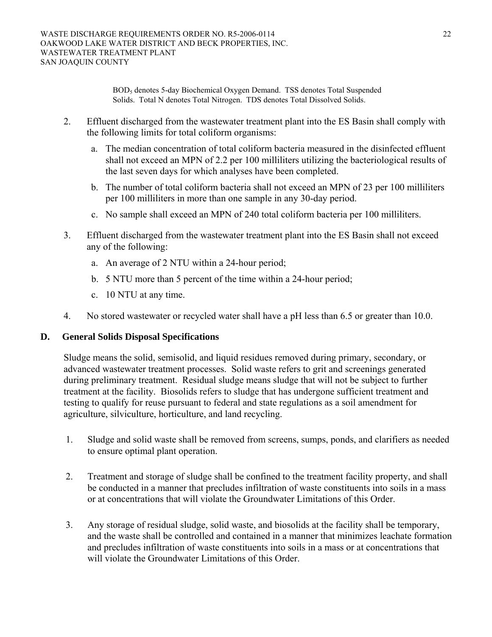BOD5 denotes 5-day Biochemical Oxygen Demand. TSS denotes Total Suspended Solids. Total N denotes Total Nitrogen. TDS denotes Total Dissolved Solids.

- 2. Effluent discharged from the wastewater treatment plant into the ES Basin shall comply with the following limits for total coliform organisms:
	- a. The median concentration of total coliform bacteria measured in the disinfected effluent shall not exceed an MPN of 2.2 per 100 milliliters utilizing the bacteriological results of the last seven days for which analyses have been completed.
	- b. The number of total coliform bacteria shall not exceed an MPN of 23 per 100 milliliters per 100 milliliters in more than one sample in any 30-day period.
	- c. No sample shall exceed an MPN of 240 total coliform bacteria per 100 milliliters.
- 3. Effluent discharged from the wastewater treatment plant into the ES Basin shall not exceed any of the following:
	- a. An average of 2 NTU within a 24-hour period;
	- b. 5 NTU more than 5 percent of the time within a 24-hour period;
	- c. 10 NTU at any time.
- 4. No stored wastewater or recycled water shall have a pH less than 6.5 or greater than 10.0.

## **D. General Solids Disposal Specifications**

Sludge means the solid, semisolid, and liquid residues removed during primary, secondary, or advanced wastewater treatment processes. Solid waste refers to grit and screenings generated during preliminary treatment. Residual sludge means sludge that will not be subject to further treatment at the facility. Biosolids refers to sludge that has undergone sufficient treatment and testing to qualify for reuse pursuant to federal and state regulations as a soil amendment for agriculture, silviculture, horticulture, and land recycling.

- 1. Sludge and solid waste shall be removed from screens, sumps, ponds, and clarifiers as needed to ensure optimal plant operation.
- 2. Treatment and storage of sludge shall be confined to the treatment facility property, and shall be conducted in a manner that precludes infiltration of waste constituents into soils in a mass or at concentrations that will violate the Groundwater Limitations of this Order.
- 3. Any storage of residual sludge, solid waste, and biosolids at the facility shall be temporary, and the waste shall be controlled and contained in a manner that minimizes leachate formation and precludes infiltration of waste constituents into soils in a mass or at concentrations that will violate the Groundwater Limitations of this Order.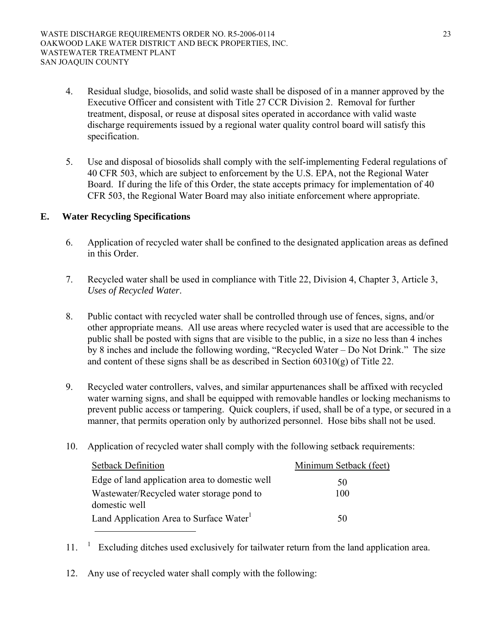- 4. Residual sludge, biosolids, and solid waste shall be disposed of in a manner approved by the Executive Officer and consistent with Title 27 CCR Division 2. Removal for further treatment, disposal, or reuse at disposal sites operated in accordance with valid waste discharge requirements issued by a regional water quality control board will satisfy this specification.
- 5. Use and disposal of biosolids shall comply with the self-implementing Federal regulations of 40 CFR 503, which are subject to enforcement by the U.S. EPA, not the Regional Water Board. If during the life of this Order, the state accepts primacy for implementation of 40 CFR 503, the Regional Water Board may also initiate enforcement where appropriate.

## **E. Water Recycling Specifications**

- 6. Application of recycled water shall be confined to the designated application areas as defined in this Order.
- 7. Recycled water shall be used in compliance with Title 22, Division 4, Chapter 3, Article 3, *Uses of Recycled Water*.
- 8. Public contact with recycled water shall be controlled through use of fences, signs, and/or other appropriate means. All use areas where recycled water is used that are accessible to the public shall be posted with signs that are visible to the public, in a size no less than 4 inches by 8 inches and include the following wording, "Recycled Water – Do Not Drink." The size and content of these signs shall be as described in Section 60310(g) of Title 22.
- 9. Recycled water controllers, valves, and similar appurtenances shall be affixed with recycled water warning signs, and shall be equipped with removable handles or locking mechanisms to prevent public access or tampering. Quick couplers, if used, shall be of a type, or secured in a manner, that permits operation only by authorized personnel. Hose bibs shall not be used.
- 10. Application of recycled water shall comply with the following setback requirements:

| <b>Setback Definition</b>                                  | Minimum Setback (feet) |
|------------------------------------------------------------|------------------------|
| Edge of land application area to domestic well             | 50                     |
| Wastewater/Recycled water storage pond to<br>domestic well | 100                    |
| Land Application Area to Surface Water <sup>1</sup>        | 50                     |

- $11.$  <sup>1</sup> Excluding ditches used exclusively for tailwater return from the land application area.
- 12. Any use of recycled water shall comply with the following: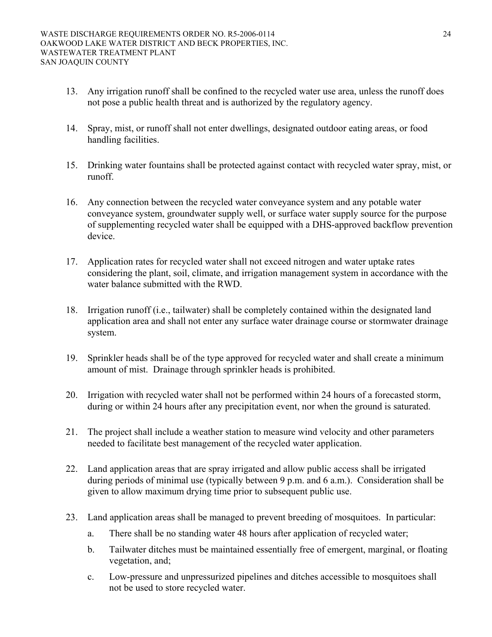- 13. Any irrigation runoff shall be confined to the recycled water use area, unless the runoff does not pose a public health threat and is authorized by the regulatory agency.
- 14. Spray, mist, or runoff shall not enter dwellings, designated outdoor eating areas, or food handling facilities.
- 15. Drinking water fountains shall be protected against contact with recycled water spray, mist, or runoff.
- 16. Any connection between the recycled water conveyance system and any potable water conveyance system, groundwater supply well, or surface water supply source for the purpose of supplementing recycled water shall be equipped with a DHS-approved backflow prevention device.
- 17. Application rates for recycled water shall not exceed nitrogen and water uptake rates considering the plant, soil, climate, and irrigation management system in accordance with the water balance submitted with the RWD.
- 18. Irrigation runoff (i.e., tailwater) shall be completely contained within the designated land application area and shall not enter any surface water drainage course or stormwater drainage system.
- 19. Sprinkler heads shall be of the type approved for recycled water and shall create a minimum amount of mist. Drainage through sprinkler heads is prohibited.
- 20. Irrigation with recycled water shall not be performed within 24 hours of a forecasted storm, during or within 24 hours after any precipitation event, nor when the ground is saturated.
- 21. The project shall include a weather station to measure wind velocity and other parameters needed to facilitate best management of the recycled water application.
- 22. Land application areas that are spray irrigated and allow public access shall be irrigated during periods of minimal use (typically between 9 p.m. and 6 a.m.). Consideration shall be given to allow maximum drying time prior to subsequent public use.
- 23. Land application areas shall be managed to prevent breeding of mosquitoes. In particular:
	- a. There shall be no standing water 48 hours after application of recycled water;
	- b. Tailwater ditches must be maintained essentially free of emergent, marginal, or floating vegetation, and;
	- c. Low-pressure and unpressurized pipelines and ditches accessible to mosquitoes shall not be used to store recycled water.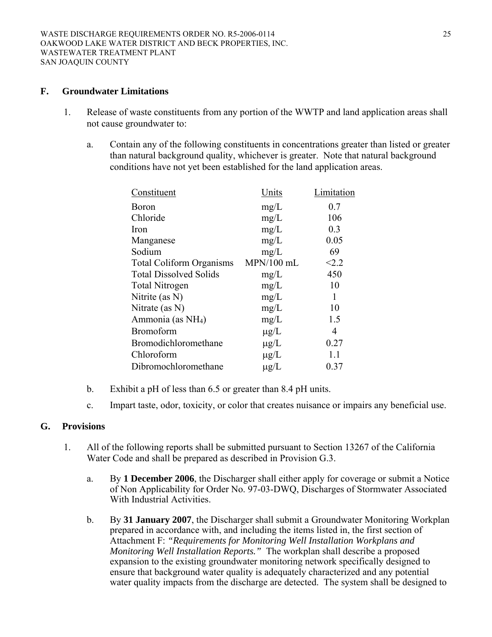#### **F. Groundwater Limitations**

- 1. Release of waste constituents from any portion of the WWTP and land application areas shall not cause groundwater to:
	- a. Contain any of the following constituents in concentrations greater than listed or greater than natural background quality, whichever is greater. Note that natural background conditions have not yet been established for the land application areas.

| Constituent                     | Units        | Limitation |
|---------------------------------|--------------|------------|
| <b>Boron</b>                    | mg/L         | 0.7        |
| Chloride                        | mg/L         | 106        |
| Iron                            | mg/L         | 0.3        |
| Manganese                       | mg/L         | 0.05       |
| Sodium                          | mg/L         | 69         |
| <b>Total Coliform Organisms</b> | $MPN/100$ mL | < 2.2      |
| <b>Total Dissolved Solids</b>   | mg/L         | 450        |
| <b>Total Nitrogen</b>           | mg/L         | 10         |
| Nitrite (as $N$ )               | mg/L         | 1          |
| Nitrate (as $N$ )               | mg/L         | 10         |
| Ammonia (as NH <sub>4</sub> )   | mg/L         | 1.5        |
| <b>Bromoform</b>                | $\mu$ g/L    | 4          |
| Bromodichloromethane            | $\mu$ g/L    | 0.27       |
| Chloroform                      | $\mu$ g/L    | 1.1        |
| Dibromochloromethane            | $\mu$ g/L    | 0.37       |
|                                 |              |            |

- b. Exhibit a pH of less than 6.5 or greater than 8.4 pH units.
- c. Impart taste, odor, toxicity, or color that creates nuisance or impairs any beneficial use.

## **G. Provisions**

- 1. All of the following reports shall be submitted pursuant to Section 13267 of the California Water Code and shall be prepared as described in Provision G.3.
	- a. By **1 December 2006**, the Discharger shall either apply for coverage or submit a Notice of Non Applicability for Order No. 97-03-DWQ, Discharges of Stormwater Associated With Industrial Activities.
	- b. By **31 January 2007**, the Discharger shall submit a Groundwater Monitoring Workplan prepared in accordance with, and including the items listed in, the first section of Attachment F: *"Requirements for Monitoring Well Installation Workplans and Monitoring Well Installation Reports."* The workplan shall describe a proposed expansion to the existing groundwater monitoring network specifically designed to ensure that background water quality is adequately characterized and any potential water quality impacts from the discharge are detected. The system shall be designed to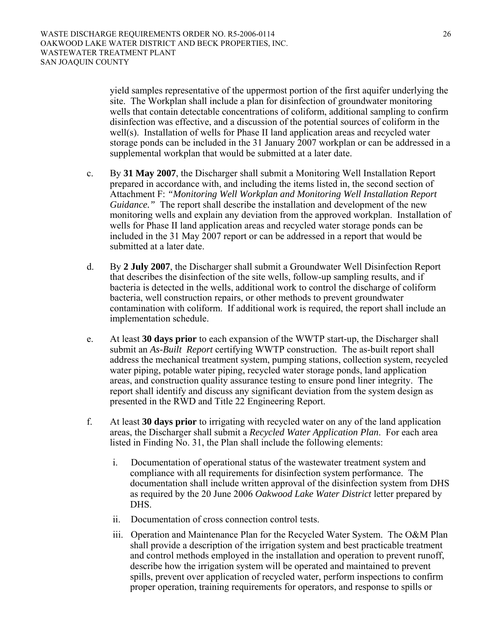yield samples representative of the uppermost portion of the first aquifer underlying the site. The Workplan shall include a plan for disinfection of groundwater monitoring wells that contain detectable concentrations of coliform, additional sampling to confirm disinfection was effective, and a discussion of the potential sources of coliform in the well(s). Installation of wells for Phase II land application areas and recycled water storage ponds can be included in the 31 January 2007 workplan or can be addressed in a supplemental workplan that would be submitted at a later date.

- c. By **31 May 2007**, the Discharger shall submit a Monitoring Well Installation Report prepared in accordance with, and including the items listed in, the second section of Attachment F: *"Monitoring Well Workplan and Monitoring Well Installation Report Guidance."* The report shall describe the installation and development of the new monitoring wells and explain any deviation from the approved workplan. Installation of wells for Phase II land application areas and recycled water storage ponds can be included in the 31 May 2007 report or can be addressed in a report that would be submitted at a later date.
- d. By **2 July 2007**, the Discharger shall submit a Groundwater Well Disinfection Report that describes the disinfection of the site wells, follow-up sampling results, and if bacteria is detected in the wells, additional work to control the discharge of coliform bacteria, well construction repairs, or other methods to prevent groundwater contamination with coliform. If additional work is required, the report shall include an implementation schedule.
- e. At least **30 days prior** to each expansion of the WWTP start-up, the Discharger shall submit an *As-Built Report* certifying WWTP construction. The as-built report shall address the mechanical treatment system, pumping stations, collection system, recycled water piping, potable water piping, recycled water storage ponds, land application areas, and construction quality assurance testing to ensure pond liner integrity. The report shall identify and discuss any significant deviation from the system design as presented in the RWD and Title 22 Engineering Report.
- f. At least **30 days prior** to irrigating with recycled water on any of the land application areas, the Discharger shall submit a *Recycled Water Application Plan*. For each area listed in Finding No. 31, the Plan shall include the following elements:
	- i. Documentation of operational status of the wastewater treatment system and compliance with all requirements for disinfection system performance. The documentation shall include written approval of the disinfection system from DHS as required by the 20 June 2006 *Oakwood Lake Water District* letter prepared by DHS.
	- ii. Documentation of cross connection control tests.
	- iii. Operation and Maintenance Plan for the Recycled Water System. The O&M Plan shall provide a description of the irrigation system and best practicable treatment and control methods employed in the installation and operation to prevent runoff, describe how the irrigation system will be operated and maintained to prevent spills, prevent over application of recycled water, perform inspections to confirm proper operation, training requirements for operators, and response to spills or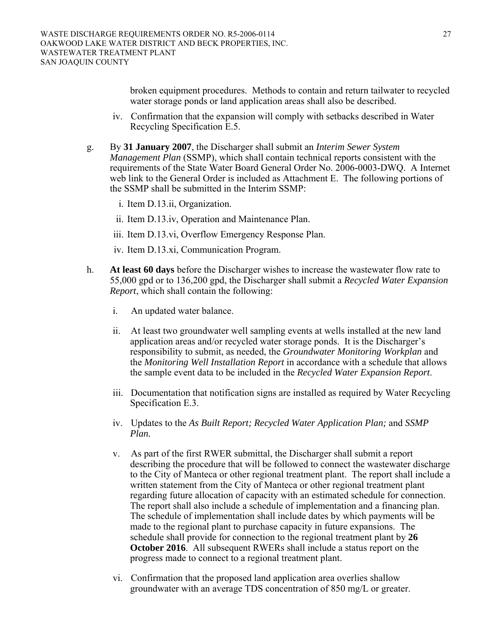broken equipment procedures. Methods to contain and return tailwater to recycled water storage ponds or land application areas shall also be described.

- iv. Confirmation that the expansion will comply with setbacks described in Water Recycling Specification E.5.
- g. By **31 January 2007**, the Discharger shall submit an *Interim Sewer System Management Plan* (SSMP), which shall contain technical reports consistent with the requirements of the State Water Board General Order No. 2006-0003-DWQ. A Internet web link to the General Order is included as Attachment E. The following portions of the SSMP shall be submitted in the Interim SSMP:
	- i. Item D.13.ii, Organization.
	- ii. Item D.13.iv, Operation and Maintenance Plan.
	- iii. Item D.13.vi, Overflow Emergency Response Plan.
	- iv. Item D.13.xi, Communication Program.
- h. **At least 60 days** before the Discharger wishes to increase the wastewater flow rate to 55,000 gpd or to 136,200 gpd, the Discharger shall submit a *Recycled Water Expansion Report*, which shall contain the following:
	- i. An updated water balance.
	- ii. At least two groundwater well sampling events at wells installed at the new land application areas and/or recycled water storage ponds. It is the Discharger's responsibility to submit, as needed, the *Groundwater Monitoring Workplan* and the *Monitoring Well Installation Report* in accordance with a schedule that allows the sample event data to be included in the *Recycled Water Expansion Report*.
	- iii. Documentation that notification signs are installed as required by Water Recycling Specification E.3.
	- iv. Updates to the *As Built Report; Recycled Water Application Plan;* and *SSMP Plan.*
	- v. As part of the first RWER submittal, the Discharger shall submit a report describing the procedure that will be followed to connect the wastewater discharge to the City of Manteca or other regional treatment plant. The report shall include a written statement from the City of Manteca or other regional treatment plant regarding future allocation of capacity with an estimated schedule for connection. The report shall also include a schedule of implementation and a financing plan. The schedule of implementation shall include dates by which payments will be made to the regional plant to purchase capacity in future expansions. The schedule shall provide for connection to the regional treatment plant by **26 October 2016**. All subsequent RWERs shall include a status report on the progress made to connect to a regional treatment plant.
	- vi. Confirmation that the proposed land application area overlies shallow groundwater with an average TDS concentration of 850 mg/L or greater.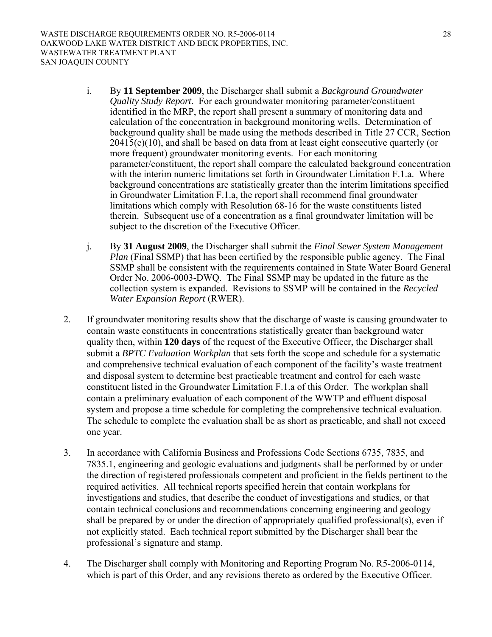- i. By **11 September 2009**, the Discharger shall submit a *Background Groundwater Quality Study Report*. For each groundwater monitoring parameter/constituent identified in the MRP, the report shall present a summary of monitoring data and calculation of the concentration in background monitoring wells. Determination of background quality shall be made using the methods described in Title 27 CCR, Section  $20415(e)(10)$ , and shall be based on data from at least eight consecutive quarterly (or more frequent) groundwater monitoring events. For each monitoring parameter/constituent, the report shall compare the calculated background concentration with the interim numeric limitations set forth in Groundwater Limitation F.1.a. Where background concentrations are statistically greater than the interim limitations specified in Groundwater Limitation F.1.a, the report shall recommend final groundwater limitations which comply with Resolution 68-16 for the waste constituents listed therein. Subsequent use of a concentration as a final groundwater limitation will be subject to the discretion of the Executive Officer.
- j. By **31 August 2009**, the Discharger shall submit the *Final Sewer System Management Plan* (Final SSMP) that has been certified by the responsible public agency. The Final SSMP shall be consistent with the requirements contained in State Water Board General Order No. 2006-0003-DWQ. The Final SSMP may be updated in the future as the collection system is expanded. Revisions to SSMP will be contained in the *Recycled Water Expansion Report* (RWER).
- 2. If groundwater monitoring results show that the discharge of waste is causing groundwater to contain waste constituents in concentrations statistically greater than background water quality then, within **120 days** of the request of the Executive Officer, the Discharger shall submit a *BPTC Evaluation Workplan* that sets forth the scope and schedule for a systematic and comprehensive technical evaluation of each component of the facility's waste treatment and disposal system to determine best practicable treatment and control for each waste constituent listed in the Groundwater Limitation F.1.a of this Order. The workplan shall contain a preliminary evaluation of each component of the WWTP and effluent disposal system and propose a time schedule for completing the comprehensive technical evaluation. The schedule to complete the evaluation shall be as short as practicable, and shall not exceed one year.
- 3. In accordance with California Business and Professions Code Sections 6735, 7835, and 7835.1, engineering and geologic evaluations and judgments shall be performed by or under the direction of registered professionals competent and proficient in the fields pertinent to the required activities. All technical reports specified herein that contain workplans for investigations and studies, that describe the conduct of investigations and studies, or that contain technical conclusions and recommendations concerning engineering and geology shall be prepared by or under the direction of appropriately qualified professional(s), even if not explicitly stated. Each technical report submitted by the Discharger shall bear the professional's signature and stamp.
- 4. The Discharger shall comply with Monitoring and Reporting Program No. R5-2006-0114, which is part of this Order, and any revisions thereto as ordered by the Executive Officer.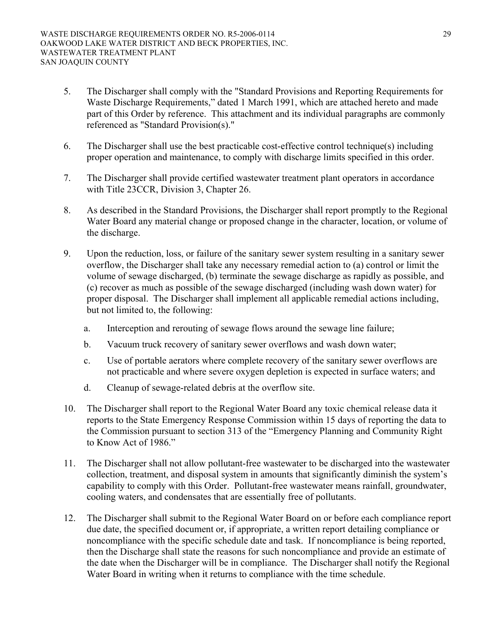- 5. The Discharger shall comply with the "Standard Provisions and Reporting Requirements for Waste Discharge Requirements," dated 1 March 1991, which are attached hereto and made part of this Order by reference. This attachment and its individual paragraphs are commonly referenced as "Standard Provision(s)."
- 6. The Discharger shall use the best practicable cost-effective control technique(s) including proper operation and maintenance, to comply with discharge limits specified in this order.
- 7. The Discharger shall provide certified wastewater treatment plant operators in accordance with Title 23CCR, Division 3, Chapter 26.
- 8. As described in the Standard Provisions, the Discharger shall report promptly to the Regional Water Board any material change or proposed change in the character, location, or volume of the discharge.
- 9. Upon the reduction, loss, or failure of the sanitary sewer system resulting in a sanitary sewer overflow, the Discharger shall take any necessary remedial action to (a) control or limit the volume of sewage discharged, (b) terminate the sewage discharge as rapidly as possible, and (c) recover as much as possible of the sewage discharged (including wash down water) for proper disposal. The Discharger shall implement all applicable remedial actions including, but not limited to, the following:
	- a. Interception and rerouting of sewage flows around the sewage line failure;
	- b. Vacuum truck recovery of sanitary sewer overflows and wash down water;
	- c. Use of portable aerators where complete recovery of the sanitary sewer overflows are not practicable and where severe oxygen depletion is expected in surface waters; and
	- d. Cleanup of sewage-related debris at the overflow site.
- 10. The Discharger shall report to the Regional Water Board any toxic chemical release data it reports to the State Emergency Response Commission within 15 days of reporting the data to the Commission pursuant to section 313 of the "Emergency Planning and Community Right to Know Act of 1986."
- 11. The Discharger shall not allow pollutant-free wastewater to be discharged into the wastewater collection, treatment, and disposal system in amounts that significantly diminish the system's capability to comply with this Order. Pollutant-free wastewater means rainfall, groundwater, cooling waters, and condensates that are essentially free of pollutants.
- 12. The Discharger shall submit to the Regional Water Board on or before each compliance report due date, the specified document or, if appropriate, a written report detailing compliance or noncompliance with the specific schedule date and task. If noncompliance is being reported, then the Discharge shall state the reasons for such noncompliance and provide an estimate of the date when the Discharger will be in compliance. The Discharger shall notify the Regional Water Board in writing when it returns to compliance with the time schedule.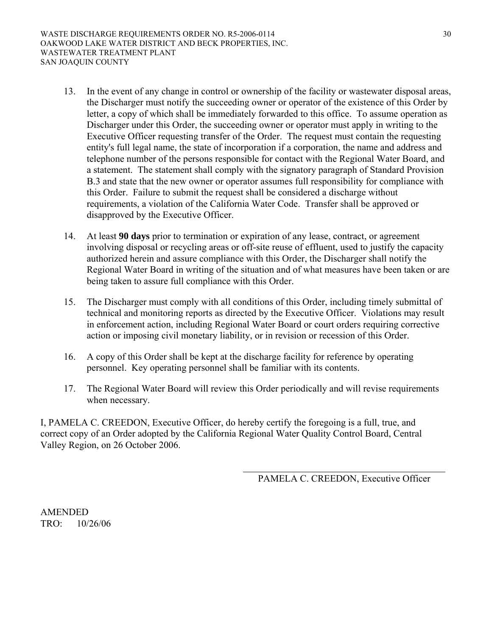- 13. In the event of any change in control or ownership of the facility or wastewater disposal areas, the Discharger must notify the succeeding owner or operator of the existence of this Order by letter, a copy of which shall be immediately forwarded to this office. To assume operation as Discharger under this Order, the succeeding owner or operator must apply in writing to the Executive Officer requesting transfer of the Order. The request must contain the requesting entity's full legal name, the state of incorporation if a corporation, the name and address and telephone number of the persons responsible for contact with the Regional Water Board, and a statement. The statement shall comply with the signatory paragraph of Standard Provision B.3 and state that the new owner or operator assumes full responsibility for compliance with this Order. Failure to submit the request shall be considered a discharge without requirements, a violation of the California Water Code. Transfer shall be approved or disapproved by the Executive Officer.
- 14. At least **90 days** prior to termination or expiration of any lease, contract, or agreement involving disposal or recycling areas or off-site reuse of effluent, used to justify the capacity authorized herein and assure compliance with this Order, the Discharger shall notify the Regional Water Board in writing of the situation and of what measures have been taken or are being taken to assure full compliance with this Order.
- 15. The Discharger must comply with all conditions of this Order, including timely submittal of technical and monitoring reports as directed by the Executive Officer. Violations may result in enforcement action, including Regional Water Board or court orders requiring corrective action or imposing civil monetary liability, or in revision or recession of this Order.
- 16. A copy of this Order shall be kept at the discharge facility for reference by operating personnel. Key operating personnel shall be familiar with its contents.
- 17. The Regional Water Board will review this Order periodically and will revise requirements when necessary.

I, PAMELA C. CREEDON, Executive Officer, do hereby certify the foregoing is a full, true, and correct copy of an Order adopted by the California Regional Water Quality Control Board, Central Valley Region, on 26 October 2006.

PAMELA C. CREEDON, Executive Officer

AMENDED TRO: 10/26/06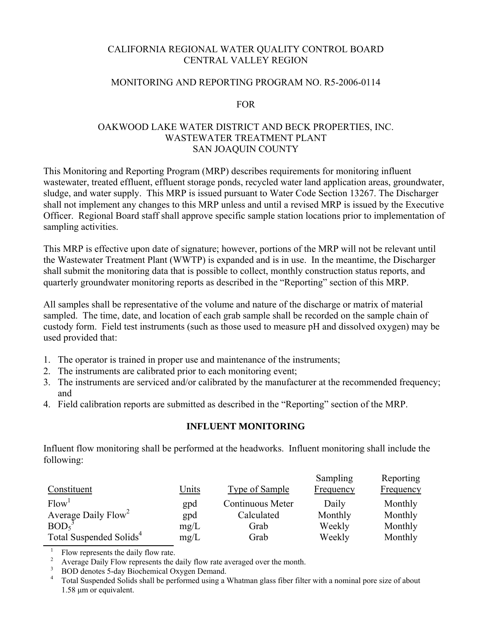## CALIFORNIA REGIONAL WATER QUALITY CONTROL BOARD CENTRAL VALLEY REGION

#### MONITORING AND REPORTING PROGRAM NO. R5-2006-0114

#### FOR

## OAKWOOD LAKE WATER DISTRICT AND BECK PROPERTIES, INC. WASTEWATER TREATMENT PLANT SAN JOAQUIN COUNTY

This Monitoring and Reporting Program (MRP) describes requirements for monitoring influent wastewater, treated effluent, effluent storage ponds, recycled water land application areas, groundwater, sludge, and water supply. This MRP is issued pursuant to Water Code Section 13267. The Discharger shall not implement any changes to this MRP unless and until a revised MRP is issued by the Executive Officer. Regional Board staff shall approve specific sample station locations prior to implementation of sampling activities.

This MRP is effective upon date of signature; however, portions of the MRP will not be relevant until the Wastewater Treatment Plant (WWTP) is expanded and is in use. In the meantime, the Discharger shall submit the monitoring data that is possible to collect, monthly construction status reports, and quarterly groundwater monitoring reports as described in the "Reporting" section of this MRP.

All samples shall be representative of the volume and nature of the discharge or matrix of material sampled. The time, date, and location of each grab sample shall be recorded on the sample chain of custody form. Field test instruments (such as those used to measure pH and dissolved oxygen) may be used provided that:

- 1. The operator is trained in proper use and maintenance of the instruments;
- 2. The instruments are calibrated prior to each monitoring event;
- 3. The instruments are serviced and/or calibrated by the manufacturer at the recommended frequency; and
- 4. Field calibration reports are submitted as described in the "Reporting" section of the MRP.

## **INFLUENT MONITORING**

Influent flow monitoring shall be performed at the headworks. Influent monitoring shall include the following:

|                                                                  |              |                  | Sampling         | Reporting        |
|------------------------------------------------------------------|--------------|------------------|------------------|------------------|
| Constituent                                                      | <u>Units</u> | Type of Sample   | <b>Frequency</b> | <b>Frequency</b> |
| Flow <sup>1</sup>                                                | gpd          | Continuous Meter | Daily            | Monthly          |
| Average Daily Flow <sup>2</sup><br>BOD <sub>5</sub> <sup>3</sup> | gpd          | Calculated       | Monthly          | Monthly          |
|                                                                  | mg/L         | Grab             | Weekly           | Monthly          |
| Total Suspended Solids <sup>4</sup>                              | mg/L         | Grab             | Weekly           | Monthly          |

1 Flow represents the daily flow rate.

<sup>2</sup> Average Daily Flow represents the daily flow rate averaged over the month. <sup>3</sup>

<sup>&</sup>lt;sup>3</sup> BOD denotes 5-day Biochemical Oxygen Demand.

<sup>&</sup>lt;sup>4</sup> Total Suspended Solids shall be performed using a Whatman glass fiber filter with a nominal pore size of about 1.58 μm or equivalent.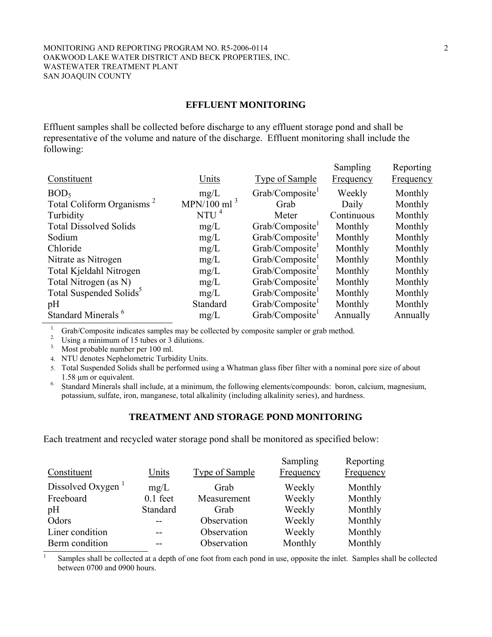#### MONITORING AND REPORTING PROGRAM NO. R5-2006-0114 2 OAKWOOD LAKE WATER DISTRICT AND BECK PROPERTIES, INC. WASTEWATER TREATMENT PLANT SAN JOAQUIN COUNTY

#### **EFFLUENT MONITORING**

Effluent samples shall be collected before discharge to any effluent storage pond and shall be representative of the volume and nature of the discharge. Effluent monitoring shall include the following:

|                                       |                |                             | Sampling         | Reporting |
|---------------------------------------|----------------|-----------------------------|------------------|-----------|
| Constituent                           | Units          | <b>Type of Sample</b>       | <b>Frequency</b> | Frequency |
| BOD <sub>5</sub>                      | mg/L           | Grab/Composite <sup>1</sup> | Weekly           | Monthly   |
| Total Coliform Organisms <sup>2</sup> | MPN/100 ml $3$ | Grab                        | Daily            | Monthly   |
| Turbidity                             | NTU $^4$       | Meter                       | Continuous       | Monthly   |
| <b>Total Dissolved Solids</b>         | mg/L           | Grab/Composite <sup>1</sup> | Monthly          | Monthly   |
| Sodium                                | mg/L           | Grab/Composite <sup>1</sup> | Monthly          | Monthly   |
| Chloride                              | mg/L           | Grab/Composite              | Monthly          | Monthly   |
| Nitrate as Nitrogen                   | mg/L           | Grab/Composite              | Monthly          | Monthly   |
| Total Kjeldahl Nitrogen               | mg/L           | Grab/Composite <sup>1</sup> | Monthly          | Monthly   |
| Total Nitrogen (as N)                 | mg/L           | Grab/Composite <sup>1</sup> | Monthly          | Monthly   |
| Total Suspended Solids <sup>5</sup>   | mg/L           | Grab/Composite <sup>1</sup> | Monthly          | Monthly   |
| pH                                    | Standard       | Grab/Composite <sup>1</sup> | Monthly          | Monthly   |
| Standard Minerals <sup>6</sup>        | mg/L           | Grab/Composite              | Annually         | Annually  |

<sup>1.</sup> Grab/Composite indicates samples may be collected by composite sampler or grab method.

2. Using a minimum of 15 tubes or 3 dilutions.

3. Most probable number per 100 ml.

4. NTU denotes Nephelometric Turbidity Units.

5. Total Suspended Solids shall be performed using a Whatman glass fiber filter with a nominal pore size of about 1.58 μm or equivalent. 6. Standard Minerals shall include, at a minimum, the following elements/compounds: boron, calcium, magnesium,

potassium, sulfate, iron, manganese, total alkalinity (including alkalinity series), and hardness.

#### **TREATMENT AND STORAGE POND MONITORING**

Each treatment and recycled water storage pond shall be monitored as specified below:

|                  |            |                       | Sampling  | Reporting |
|------------------|------------|-----------------------|-----------|-----------|
| Constituent      | Units      | <b>Type of Sample</b> | Frequency | Frequency |
| Dissolved Oxygen | mg/L       | Grab                  | Weekly    | Monthly   |
| Freeboard        | $0.1$ feet | Measurement           | Weekly    | Monthly   |
| pH               | Standard   | Grab                  | Weekly    | Monthly   |
| Odors            | $-$        | Observation           | Weekly    | Monthly   |
| Liner condition  |            | Observation           | Weekly    | Monthly   |
| Berm condition   |            | Observation           | Monthly   | Monthly   |

 $1$  Samples shall be collected at a depth of one foot from each pond in use, opposite the inlet. Samples shall be collected between 0700 and 0900 hours.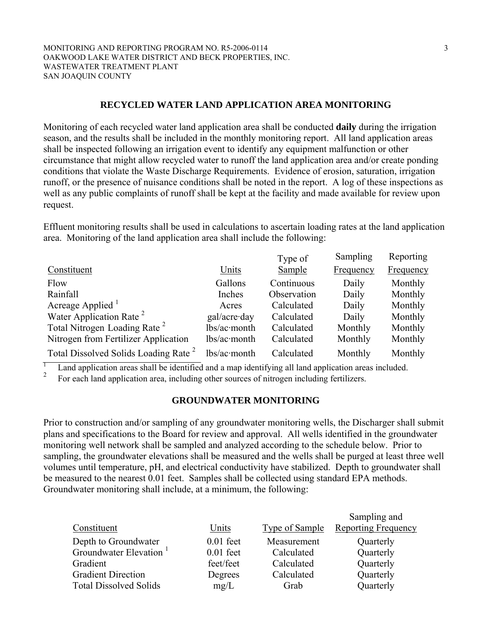#### **RECYCLED WATER LAND APPLICATION AREA MONITORING**

Monitoring of each recycled water land application area shall be conducted **daily** during the irrigation season, and the results shall be included in the monthly monitoring report. All land application areas shall be inspected following an irrigation event to identify any equipment malfunction or other circumstance that might allow recycled water to runoff the land application area and/or create ponding conditions that violate the Waste Discharge Requirements. Evidence of erosion, saturation, irrigation runoff, or the presence of nuisance conditions shall be noted in the report. A log of these inspections as well as any public complaints of runoff shall be kept at the facility and made available for review upon request.

Effluent monitoring results shall be used in calculations to ascertain loading rates at the land application area. Monitoring of the land application area shall include the following:

|                                                  |                      | Type of       | Sampling  | Reporting        |
|--------------------------------------------------|----------------------|---------------|-----------|------------------|
| Constituent                                      | Units                | <b>Sample</b> | Frequency | <b>Frequency</b> |
| Flow                                             | Gallons              | Continuous    | Daily     | Monthly          |
| Rainfall                                         | Inches               | Observation   | Daily     | Monthly          |
| Acreage Applied                                  | Acres                | Calculated    | Daily     | Monthly          |
| Water Application Rate <sup>2</sup>              | $gal/acre \cdot day$ | Calculated    | Daily     | Monthly          |
| Total Nitrogen Loading Rate <sup>2</sup>         | lbs/ac·month         | Calculated    | Monthly   | Monthly          |
| Nitrogen from Fertilizer Application             | lbs/ac·month         | Calculated    | Monthly   | Monthly          |
| Total Dissolved Solids Loading Rate <sup>2</sup> | $lbs/ac$ month       | Calculated    | Monthly   | Monthly          |

1 Land application areas shall be identified and a map identifying all land application areas included.

2 For each land application area, including other sources of nitrogen including fertilizers.

#### **GROUNDWATER MONITORING**

Prior to construction and/or sampling of any groundwater monitoring wells, the Discharger shall submit plans and specifications to the Board for review and approval. All wells identified in the groundwater monitoring well network shall be sampled and analyzed according to the schedule below. Prior to sampling, the groundwater elevations shall be measured and the wells shall be purged at least three well volumes until temperature, pH, and electrical conductivity have stabilized. Depth to groundwater shall be measured to the nearest 0.01 feet. Samples shall be collected using standard EPA methods. Groundwater monitoring shall include, at a minimum, the following:

|                                    |             |                | Sampling and               |
|------------------------------------|-------------|----------------|----------------------------|
| Constituent                        | Units       | Type of Sample | <b>Reporting Frequency</b> |
| Depth to Groundwater               | $0.01$ feet | Measurement    | Quarterly                  |
| Groundwater Elevation <sup>1</sup> | $0.01$ feet | Calculated     | Quarterly                  |
| Gradient                           | feet/feet   | Calculated     | Quarterly                  |
| <b>Gradient Direction</b>          | Degrees     | Calculated     | Quarterly                  |
| <b>Total Dissolved Solids</b>      | mg/L        | Grab           | Quarterly                  |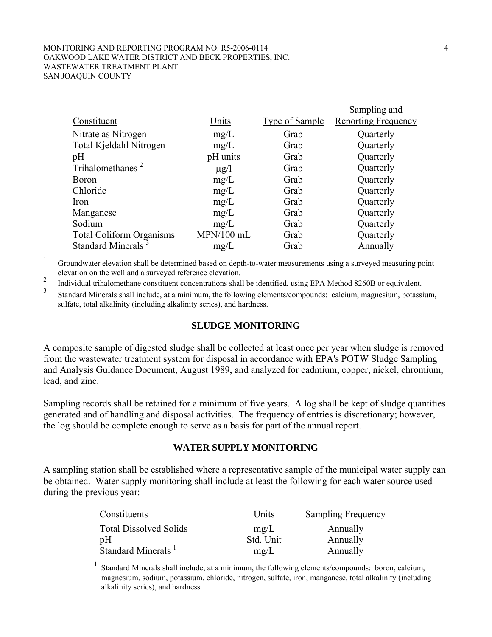#### MONITORING AND REPORTING PROGRAM NO. R5-2006-0114 4 OAKWOOD LAKE WATER DISTRICT AND BECK PROPERTIES, INC. WASTEWATER TREATMENT PLANT SAN JOAQUIN COUNTY

| Constituent                     | Units        | Type of Sample | Sampling and<br><b>Reporting Frequency</b> |
|---------------------------------|--------------|----------------|--------------------------------------------|
| Nitrate as Nitrogen             | mg/L         | Grab           | Quarterly                                  |
| Total Kjeldahl Nitrogen         | mg/L         | Grab           | Quarterly                                  |
| pH                              | pH units     | Grab           | Quarterly                                  |
| Trihalomethanes <sup>2</sup>    | $\mu$ g/l    | Grab           | Quarterly                                  |
| <b>Boron</b>                    | mg/L         | Grab           | Quarterly                                  |
| Chloride                        | mg/L         | Grab           | Quarterly                                  |
| Iron                            | mg/L         | Grab           | Quarterly                                  |
| Manganese                       | mg/L         | Grab           | Quarterly                                  |
| Sodium                          | mg/L         | Grab           | Quarterly                                  |
| <b>Total Coliform Organisms</b> | $MPN/100$ mL | Grab           | Quarterly                                  |
| Standard Minerals <sup>3</sup>  | mg/L         | Grab           | Annually                                   |
|                                 |              |                |                                            |

<sup>1</sup> Groundwater elevation shall be determined based on depth-to-water measurements using a surveyed measuring point elevation on the well and a surveyed reference elevation.

2 Individual trihalomethane constituent concentrations shall be identified, using EPA Method 8260B or equivalent.

3 Standard Minerals shall include, at a minimum, the following elements/compounds: calcium, magnesium, potassium, sulfate, total alkalinity (including alkalinity series), and hardness.

## **SLUDGE MONITORING**

A composite sample of digested sludge shall be collected at least once per year when sludge is removed from the wastewater treatment system for disposal in accordance with EPA's POTW Sludge Sampling and Analysis Guidance Document, August 1989, and analyzed for cadmium, copper, nickel, chromium, lead, and zinc.

Sampling records shall be retained for a minimum of five years. A log shall be kept of sludge quantities generated and of handling and disposal activities. The frequency of entries is discretionary; however, the log should be complete enough to serve as a basis for part of the annual report.

## **WATER SUPPLY MONITORING**

A sampling station shall be established where a representative sample of the municipal water supply can be obtained. Water supply monitoring shall include at least the following for each water source used during the previous year:

| Constituents                   | Units     | <b>Sampling Frequency</b> |
|--------------------------------|-----------|---------------------------|
| <b>Total Dissolved Solids</b>  | mg/L      | Annually                  |
| pH                             | Std. Unit | Annually                  |
| Standard Minerals <sup>1</sup> | mg/L      | Annually                  |

<sup>1</sup> Standard Minerals shall include, at a minimum, the following elements/compounds: boron, calcium, magnesium, sodium, potassium, chloride, nitrogen, sulfate, iron, manganese, total alkalinity (including alkalinity series), and hardness.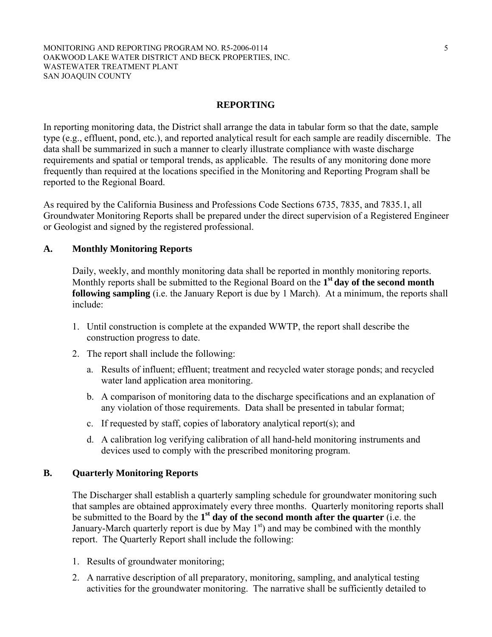#### MONITORING AND REPORTING PROGRAM NO. R5-2006-0114 5 OAKWOOD LAKE WATER DISTRICT AND BECK PROPERTIES, INC. WASTEWATER TREATMENT PLANT SAN JOAQUIN COUNTY

#### **REPORTING**

In reporting monitoring data, the District shall arrange the data in tabular form so that the date, sample type (e.g., effluent, pond, etc.), and reported analytical result for each sample are readily discernible. The data shall be summarized in such a manner to clearly illustrate compliance with waste discharge requirements and spatial or temporal trends, as applicable. The results of any monitoring done more frequently than required at the locations specified in the Monitoring and Reporting Program shall be reported to the Regional Board.

As required by the California Business and Professions Code Sections 6735, 7835, and 7835.1, all Groundwater Monitoring Reports shall be prepared under the direct supervision of a Registered Engineer or Geologist and signed by the registered professional.

#### **A. Monthly Monitoring Reports**

Daily, weekly, and monthly monitoring data shall be reported in monthly monitoring reports. Monthly reports shall be submitted to the Regional Board on the **1st day of the second month following sampling** (i.e. the January Report is due by 1 March). At a minimum, the reports shall include:

- 1. Until construction is complete at the expanded WWTP, the report shall describe the construction progress to date.
- 2. The report shall include the following:
	- a. Results of influent; effluent; treatment and recycled water storage ponds; and recycled water land application area monitoring.
	- b. A comparison of monitoring data to the discharge specifications and an explanation of any violation of those requirements. Data shall be presented in tabular format;
	- c. If requested by staff, copies of laboratory analytical report(s); and
	- d. A calibration log verifying calibration of all hand-held monitoring instruments and devices used to comply with the prescribed monitoring program.

#### **B. Quarterly Monitoring Reports**

The Discharger shall establish a quarterly sampling schedule for groundwater monitoring such that samples are obtained approximately every three months. Quarterly monitoring reports shall be submitted to the Board by the **1st day of the second month after the quarter** (i.e. the January-March quarterly report is due by May  $1<sup>st</sup>$  and may be combined with the monthly report. The Quarterly Report shall include the following:

- 1. Results of groundwater monitoring;
- 2. A narrative description of all preparatory, monitoring, sampling, and analytical testing activities for the groundwater monitoring. The narrative shall be sufficiently detailed to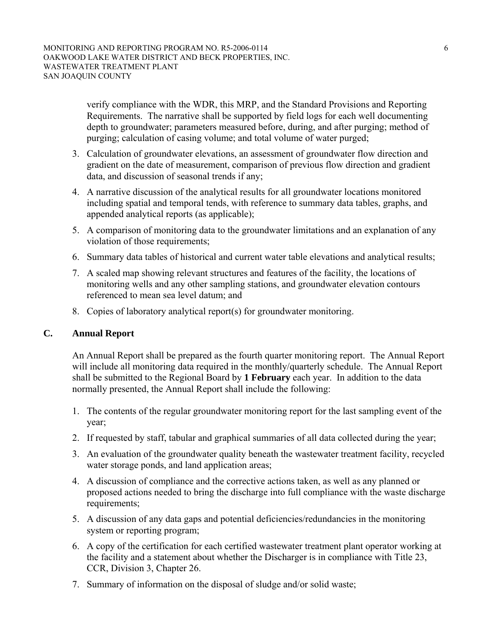verify compliance with the WDR, this MRP, and the Standard Provisions and Reporting Requirements. The narrative shall be supported by field logs for each well documenting depth to groundwater; parameters measured before, during, and after purging; method of purging; calculation of casing volume; and total volume of water purged;

- 3. Calculation of groundwater elevations, an assessment of groundwater flow direction and gradient on the date of measurement, comparison of previous flow direction and gradient data, and discussion of seasonal trends if any;
- 4. A narrative discussion of the analytical results for all groundwater locations monitored including spatial and temporal tends, with reference to summary data tables, graphs, and appended analytical reports (as applicable);
- 5. A comparison of monitoring data to the groundwater limitations and an explanation of any violation of those requirements;
- 6. Summary data tables of historical and current water table elevations and analytical results;
- 7. A scaled map showing relevant structures and features of the facility, the locations of monitoring wells and any other sampling stations, and groundwater elevation contours referenced to mean sea level datum; and
- 8. Copies of laboratory analytical report(s) for groundwater monitoring.

## **C. Annual Report**

An Annual Report shall be prepared as the fourth quarter monitoring report. The Annual Report will include all monitoring data required in the monthly/quarterly schedule. The Annual Report shall be submitted to the Regional Board by **1 February** each year. In addition to the data normally presented, the Annual Report shall include the following:

- 1. The contents of the regular groundwater monitoring report for the last sampling event of the year;
- 2. If requested by staff, tabular and graphical summaries of all data collected during the year;
- 3. An evaluation of the groundwater quality beneath the wastewater treatment facility, recycled water storage ponds, and land application areas;
- 4. A discussion of compliance and the corrective actions taken, as well as any planned or proposed actions needed to bring the discharge into full compliance with the waste discharge requirements;
- 5. A discussion of any data gaps and potential deficiencies/redundancies in the monitoring system or reporting program;
- 6. A copy of the certification for each certified wastewater treatment plant operator working at the facility and a statement about whether the Discharger is in compliance with Title 23, CCR, Division 3, Chapter 26.
- 7. Summary of information on the disposal of sludge and/or solid waste;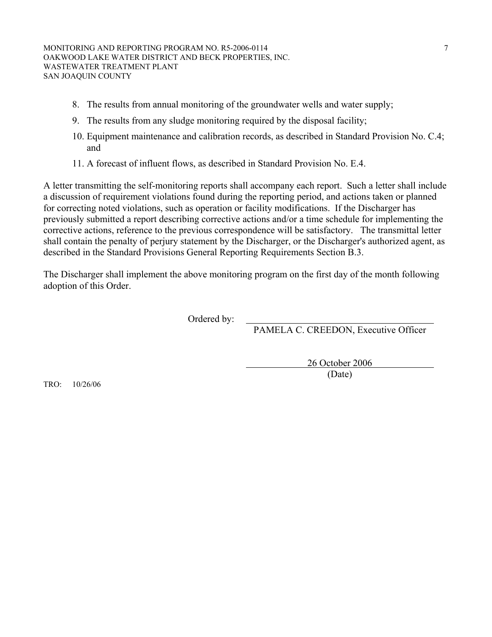- 8. The results from annual monitoring of the groundwater wells and water supply;
- 9. The results from any sludge monitoring required by the disposal facility;
- 10. Equipment maintenance and calibration records, as described in Standard Provision No. C.4; and
- 11. A forecast of influent flows, as described in Standard Provision No. E.4.

A letter transmitting the self-monitoring reports shall accompany each report. Such a letter shall include a discussion of requirement violations found during the reporting period, and actions taken or planned for correcting noted violations, such as operation or facility modifications. If the Discharger has previously submitted a report describing corrective actions and/or a time schedule for implementing the corrective actions, reference to the previous correspondence will be satisfactory. The transmittal letter shall contain the penalty of perjury statement by the Discharger, or the Discharger's authorized agent, as described in the Standard Provisions General Reporting Requirements Section B.3.

The Discharger shall implement the above monitoring program on the first day of the month following adoption of this Order.

Ordered by:

PAMELA C. CREEDON, Executive Officer

 26 October 2006 (Date)

TRO: 10/26/06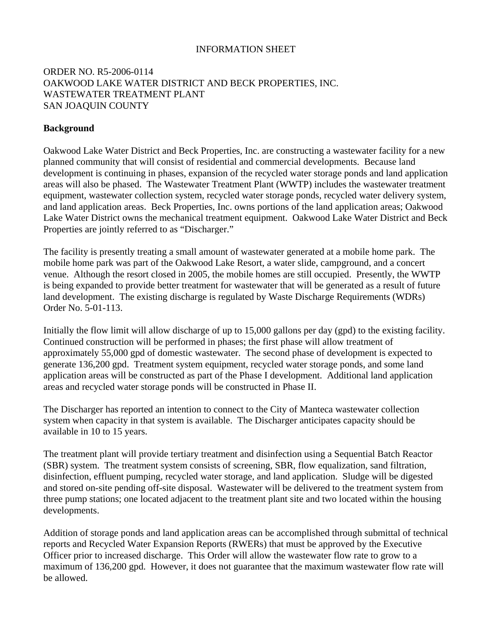## INFORMATION SHEET

## ORDER NO. R5-2006-0114 OAKWOOD LAKE WATER DISTRICT AND BECK PROPERTIES, INC. WASTEWATER TREATMENT PLANT SAN JOAQUIN COUNTY

## **Background**

Oakwood Lake Water District and Beck Properties, Inc. are constructing a wastewater facility for a new planned community that will consist of residential and commercial developments. Because land development is continuing in phases, expansion of the recycled water storage ponds and land application areas will also be phased. The Wastewater Treatment Plant (WWTP) includes the wastewater treatment equipment, wastewater collection system, recycled water storage ponds, recycled water delivery system, and land application areas. Beck Properties, Inc. owns portions of the land application areas; Oakwood Lake Water District owns the mechanical treatment equipment. Oakwood Lake Water District and Beck Properties are jointly referred to as "Discharger."

The facility is presently treating a small amount of wastewater generated at a mobile home park. The mobile home park was part of the Oakwood Lake Resort, a water slide, campground, and a concert venue. Although the resort closed in 2005, the mobile homes are still occupied. Presently, the WWTP is being expanded to provide better treatment for wastewater that will be generated as a result of future land development. The existing discharge is regulated by Waste Discharge Requirements (WDRs) Order No. 5-01-113.

Initially the flow limit will allow discharge of up to 15,000 gallons per day (gpd) to the existing facility. Continued construction will be performed in phases; the first phase will allow treatment of approximately 55,000 gpd of domestic wastewater. The second phase of development is expected to generate 136,200 gpd. Treatment system equipment, recycled water storage ponds, and some land application areas will be constructed as part of the Phase I development. Additional land application areas and recycled water storage ponds will be constructed in Phase II.

The Discharger has reported an intention to connect to the City of Manteca wastewater collection system when capacity in that system is available. The Discharger anticipates capacity should be available in 10 to 15 years.

The treatment plant will provide tertiary treatment and disinfection using a Sequential Batch Reactor (SBR) system. The treatment system consists of screening, SBR, flow equalization, sand filtration, disinfection, effluent pumping, recycled water storage, and land application. Sludge will be digested and stored on-site pending off-site disposal. Wastewater will be delivered to the treatment system from three pump stations; one located adjacent to the treatment plant site and two located within the housing developments.

Addition of storage ponds and land application areas can be accomplished through submittal of technical reports and Recycled Water Expansion Reports (RWERs) that must be approved by the Executive Officer prior to increased discharge. This Order will allow the wastewater flow rate to grow to a maximum of 136,200 gpd. However, it does not guarantee that the maximum wastewater flow rate will be allowed.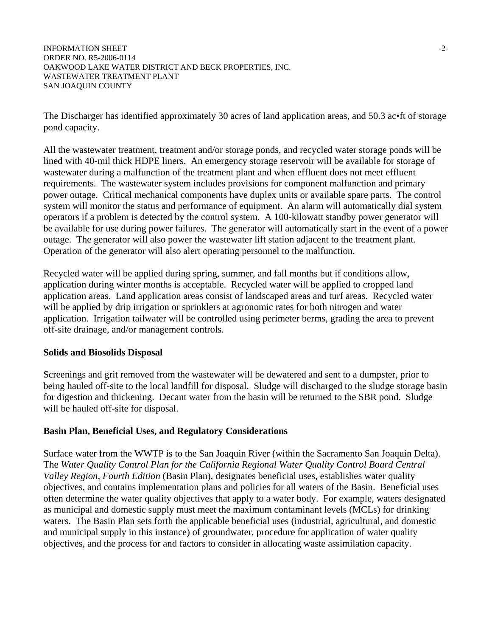INFORMATION SHEET  $\sim$ ORDER NO. R5-2006-0114 OAKWOOD LAKE WATER DISTRICT AND BECK PROPERTIES, INC. WASTEWATER TREATMENT PLANT SAN JOAQUIN COUNTY

The Discharger has identified approximately 30 acres of land application areas, and 50.3 ac•ft of storage pond capacity.

All the wastewater treatment, treatment and/or storage ponds, and recycled water storage ponds will be lined with 40-mil thick HDPE liners. An emergency storage reservoir will be available for storage of wastewater during a malfunction of the treatment plant and when effluent does not meet effluent requirements. The wastewater system includes provisions for component malfunction and primary power outage. Critical mechanical components have duplex units or available spare parts. The control system will monitor the status and performance of equipment. An alarm will automatically dial system operators if a problem is detected by the control system. A 100-kilowatt standby power generator will be available for use during power failures. The generator will automatically start in the event of a power outage. The generator will also power the wastewater lift station adjacent to the treatment plant. Operation of the generator will also alert operating personnel to the malfunction.

Recycled water will be applied during spring, summer, and fall months but if conditions allow, application during winter months is acceptable. Recycled water will be applied to cropped land application areas. Land application areas consist of landscaped areas and turf areas. Recycled water will be applied by drip irrigation or sprinklers at agronomic rates for both nitrogen and water application. Irrigation tailwater will be controlled using perimeter berms, grading the area to prevent off-site drainage, and/or management controls.

#### **Solids and Biosolids Disposal**

Screenings and grit removed from the wastewater will be dewatered and sent to a dumpster, prior to being hauled off-site to the local landfill for disposal. Sludge will discharged to the sludge storage basin for digestion and thickening. Decant water from the basin will be returned to the SBR pond. Sludge will be hauled off-site for disposal.

## **Basin Plan, Beneficial Uses, and Regulatory Considerations**

Surface water from the WWTP is to the San Joaquin River (within the Sacramento San Joaquin Delta). The *Water Quality Control Plan for the California Regional Water Quality Control Board Central Valley Region, Fourth Edition* (Basin Plan), designates beneficial uses, establishes water quality objectives, and contains implementation plans and policies for all waters of the Basin. Beneficial uses often determine the water quality objectives that apply to a water body. For example, waters designated as municipal and domestic supply must meet the maximum contaminant levels (MCLs) for drinking waters. The Basin Plan sets forth the applicable beneficial uses (industrial, agricultural, and domestic and municipal supply in this instance) of groundwater, procedure for application of water quality objectives, and the process for and factors to consider in allocating waste assimilation capacity.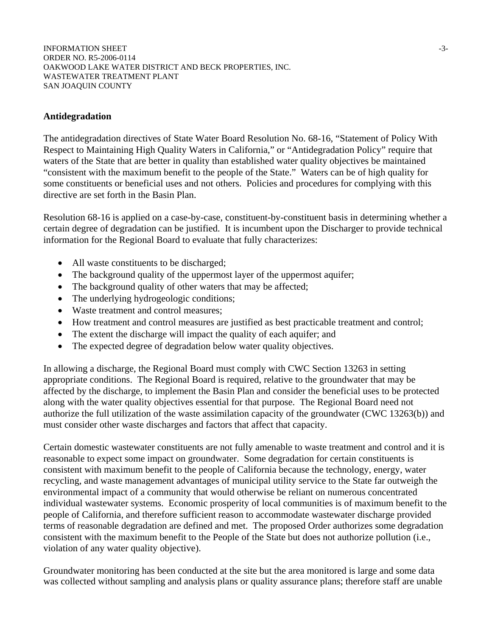INFORMATION SHEET  $\sim$ ORDER NO. R5-2006-0114 OAKWOOD LAKE WATER DISTRICT AND BECK PROPERTIES, INC. WASTEWATER TREATMENT PLANT SAN JOAQUIN COUNTY

#### **Antidegradation**

The antidegradation directives of State Water Board Resolution No. 68-16, "Statement of Policy With Respect to Maintaining High Quality Waters in California," or "Antidegradation Policy" require that waters of the State that are better in quality than established water quality objectives be maintained "consistent with the maximum benefit to the people of the State." Waters can be of high quality for some constituents or beneficial uses and not others. Policies and procedures for complying with this directive are set forth in the Basin Plan.

Resolution 68-16 is applied on a case-by-case, constituent-by-constituent basis in determining whether a certain degree of degradation can be justified. It is incumbent upon the Discharger to provide technical information for the Regional Board to evaluate that fully characterizes:

- All waste constituents to be discharged;
- The background quality of the uppermost layer of the uppermost aquifer;
- The background quality of other waters that may be affected;
- The underlying hydrogeologic conditions;
- Waste treatment and control measures:
- How treatment and control measures are justified as best practicable treatment and control;
- The extent the discharge will impact the quality of each aquifer; and
- The expected degree of degradation below water quality objectives.

In allowing a discharge, the Regional Board must comply with CWC Section 13263 in setting appropriate conditions. The Regional Board is required, relative to the groundwater that may be affected by the discharge, to implement the Basin Plan and consider the beneficial uses to be protected along with the water quality objectives essential for that purpose. The Regional Board need not authorize the full utilization of the waste assimilation capacity of the groundwater (CWC 13263(b)) and must consider other waste discharges and factors that affect that capacity.

Certain domestic wastewater constituents are not fully amenable to waste treatment and control and it is reasonable to expect some impact on groundwater. Some degradation for certain constituents is consistent with maximum benefit to the people of California because the technology, energy, water recycling, and waste management advantages of municipal utility service to the State far outweigh the environmental impact of a community that would otherwise be reliant on numerous concentrated individual wastewater systems. Economic prosperity of local communities is of maximum benefit to the people of California, and therefore sufficient reason to accommodate wastewater discharge provided terms of reasonable degradation are defined and met. The proposed Order authorizes some degradation consistent with the maximum benefit to the People of the State but does not authorize pollution (i.e., violation of any water quality objective).

Groundwater monitoring has been conducted at the site but the area monitored is large and some data was collected without sampling and analysis plans or quality assurance plans; therefore staff are unable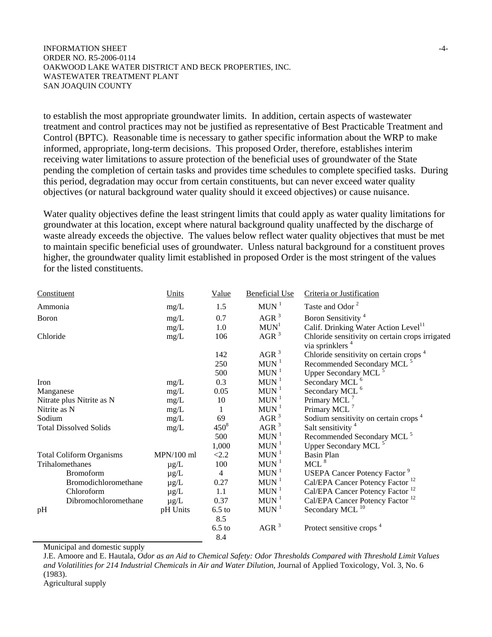#### INFORMATION SHEET -4- ORDER NO. R5-2006-0114 OAKWOOD LAKE WATER DISTRICT AND BECK PROPERTIES, INC. WASTEWATER TREATMENT PLANT SAN JOAQUIN COUNTY

to establish the most appropriate groundwater limits. In addition, certain aspects of wastewater treatment and control practices may not be justified as representative of Best Practicable Treatment and Control (BPTC). Reasonable time is necessary to gather specific information about the WRP to make informed, appropriate, long-term decisions. This proposed Order, therefore, establishes interim receiving water limitations to assure protection of the beneficial uses of groundwater of the State pending the completion of certain tasks and provides time schedules to complete specified tasks. During this period, degradation may occur from certain constituents, but can never exceed water quality objectives (or natural background water quality should it exceed objectives) or cause nuisance.

Water quality objectives define the least stringent limits that could apply as water quality limitations for groundwater at this location, except where natural background quality unaffected by the discharge of waste already exceeds the objective. The values below reflect water quality objectives that must be met to maintain specific beneficial uses of groundwater. Unless natural background for a constituent proves higher, the groundwater quality limit established in proposed Order is the most stringent of the values for the listed constituents.

| Constituent                     | Units        | Value          | <b>Beneficial Use</b> | Criteria or Justification                          |
|---------------------------------|--------------|----------------|-----------------------|----------------------------------------------------|
| Ammonia                         | mg/L         | 1.5            | $MUN$ <sup>1</sup>    | Taste and Odor <sup>2</sup>                        |
| <b>Boron</b>                    | mg/L         | 0.7            | AGR <sup>3</sup>      | Boron Sensitivity <sup>4</sup>                     |
|                                 | mg/L         | 1.0            | MUN <sup>1</sup>      | Calif. Drinking Water Action Level <sup>11</sup>   |
| Chloride                        | mg/L         | 106            | AGR <sup>3</sup>      | Chloride sensitivity on certain crops irrigated    |
|                                 |              |                |                       | via sprinklers <sup>4</sup>                        |
|                                 |              | 142            | AGR <sup>3</sup>      | Chloride sensitivity on certain crops <sup>4</sup> |
|                                 |              | 250            | $MUN$ <sup>1</sup>    | Recommended Secondary MCL <sup>5</sup>             |
|                                 |              | 500            | $MUN$ <sup>1</sup>    | Upper Secondary MCL <sup>5</sup>                   |
| Iron                            | mg/L         | 0.3            | $MUN$ <sup>1</sup>    | Secondary MCL <sup>6</sup>                         |
| Manganese                       | mg/L         | 0.05           | $MUN$ <sup>1</sup>    | Secondary MCL <sup>6</sup>                         |
| Nitrate plus Nitrite as N       | mg/L         | 10             | $MUN$ <sup>1</sup>    | Primary MCL <sup>7</sup>                           |
| Nitrite as N                    | mg/L         | 1              | $MUN$ <sup>1</sup>    | Primary MCL <sup>7</sup>                           |
| Sodium                          | mg/L         | 69             | AGR <sup>3</sup>      | Sodium sensitivity on certain crops <sup>4</sup>   |
| <b>Total Dissolved Solids</b>   | mg/L         | $450^{8}$      | AGR <sup>3</sup>      | Salt sensitivity <sup>4</sup>                      |
|                                 |              | 500            | $MUN$ <sup>1</sup>    | Recommended Secondary MCL <sup>5</sup>             |
|                                 |              | 1,000          | $MUN$ <sup>1</sup>    | Upper Secondary MCL <sup>5</sup>                   |
| <b>Total Coliform Organisms</b> | $MPN/100$ ml | < 2.2          | $MUN$ <sup>1</sup>    | <b>Basin Plan</b>                                  |
| Trihalomethanes                 | $\mu$ g/L    | 100            | $MUN$ <sup>1</sup>    | $MCL$ <sup>8</sup>                                 |
| <b>Bromoform</b>                | $\mu$ g/L    | $\overline{4}$ | $MUN$ <sup>1</sup>    | <b>USEPA Cancer Potency Factor</b> <sup>9</sup>    |
| Bromodichloromethane            | $\mu$ g/L    | 0.27           | $MUN$ <sup>1</sup>    | Cal/EPA Cancer Potency Factor <sup>12</sup>        |
| Chloroform                      | $\mu$ g/L    | 1.1            | $MUN$ <sup>1</sup>    | Cal/EPA Cancer Potency Factor <sup>12</sup>        |
| Dibromochloromethane            | $\mu$ g/L    | 0.37           | $MUN$ <sup>1</sup>    | Cal/EPA Cancer Potency Factor <sup>12</sup>        |
| pH                              | pH Units     | $6.5$ to       | $MUN$ <sup>1</sup>    | Secondary MCL <sup>10</sup>                        |
|                                 |              | 8.5            |                       |                                                    |
|                                 |              | $6.5$ to       | AGR <sup>3</sup>      | Protect sensitive crops <sup>4</sup>               |
|                                 |              | 84             |                       |                                                    |

Municipal and domestic supply

J.E. Amoore and E. Hautala, *Odor as an Aid to Chemical Safety: Odor Thresholds Compared with Threshold Limit Values and Volatilities for 214 Industrial Chemicals in Air and Water Dilution*, Journal of Applied Toxicology, Vol. 3, No. 6 (1983).

Agricultural supply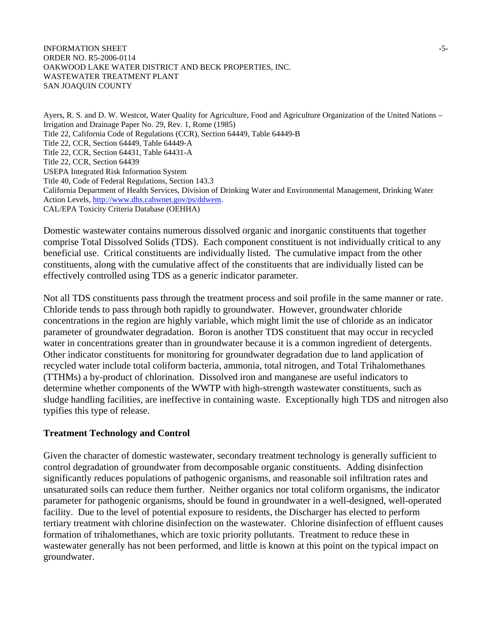#### INFORMATION SHEET  $-5$ -ORDER NO. R5-2006-0114 OAKWOOD LAKE WATER DISTRICT AND BECK PROPERTIES, INC. WASTEWATER TREATMENT PLANT SAN JOAQUIN COUNTY

Ayers, R. S. and D. W. Westcot, Water Quality for Agriculture, Food and Agriculture Organization of the United Nations – Irrigation and Drainage Paper No. 29, Rev. 1, Rome (1985) Title 22, California Code of Regulations (CCR), Section 64449, Table 64449-B Title 22, CCR, Section 64449, Table 64449-A Title 22, CCR, Section 64431, Table 64431-A Title 22, CCR, Section 64439 USEPA Integrated Risk Information System Title 40, Code of Federal Regulations, Section 143.3 California Department of Health Services, Division of Drinking Water and Environmental Management, Drinking Water Action Levels, <http://www.dhs.cahwnet.gov/ps/ddwem>. CAL/EPA Toxicity Criteria Database (OEHHA)

Domestic wastewater contains numerous dissolved organic and inorganic constituents that together comprise Total Dissolved Solids (TDS). Each component constituent is not individually critical to any beneficial use. Critical constituents are individually listed. The cumulative impact from the other constituents, along with the cumulative affect of the constituents that are individually listed can be effectively controlled using TDS as a generic indicator parameter.

Not all TDS constituents pass through the treatment process and soil profile in the same manner or rate. Chloride tends to pass through both rapidly to groundwater. However, groundwater chloride concentrations in the region are highly variable, which might limit the use of chloride as an indicator parameter of groundwater degradation. Boron is another TDS constituent that may occur in recycled water in concentrations greater than in groundwater because it is a common ingredient of detergents. Other indicator constituents for monitoring for groundwater degradation due to land application of recycled water include total coliform bacteria, ammonia, total nitrogen, and Total Trihalomethanes (TTHMs) a by-product of chlorination. Dissolved iron and manganese are useful indicators to determine whether components of the WWTP with high-strength wastewater constituents, such as sludge handling facilities, are ineffective in containing waste. Exceptionally high TDS and nitrogen also typifies this type of release.

## **Treatment Technology and Control**

Given the character of domestic wastewater, secondary treatment technology is generally sufficient to control degradation of groundwater from decomposable organic constituents. Adding disinfection significantly reduces populations of pathogenic organisms, and reasonable soil infiltration rates and unsaturated soils can reduce them further. Neither organics nor total coliform organisms, the indicator parameter for pathogenic organisms, should be found in groundwater in a well-designed, well-operated facility. Due to the level of potential exposure to residents, the Discharger has elected to perform tertiary treatment with chlorine disinfection on the wastewater. Chlorine disinfection of effluent causes formation of trihalomethanes, which are toxic priority pollutants. Treatment to reduce these in wastewater generally has not been performed, and little is known at this point on the typical impact on groundwater.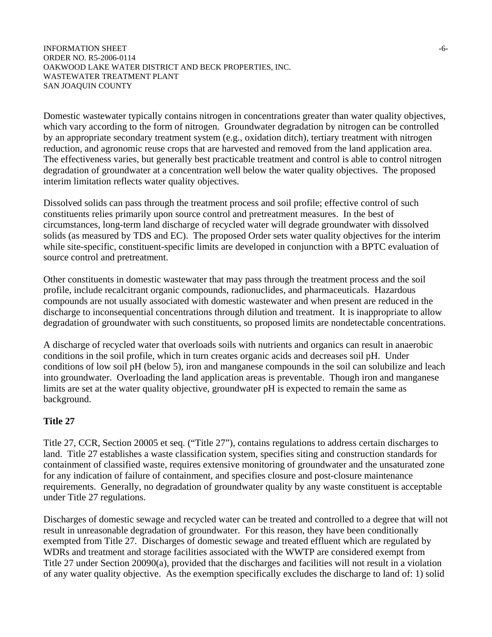#### INFORMATION SHEET  $\sim$ ORDER NO. R5-2006-0114 OAKWOOD LAKE WATER DISTRICT AND BECK PROPERTIES, INC. WASTEWATER TREATMENT PLANT SAN JOAQUIN COUNTY

Domestic wastewater typically contains nitrogen in concentrations greater than water quality objectives, which vary according to the form of nitrogen. Groundwater degradation by nitrogen can be controlled by an appropriate secondary treatment system (e.g., oxidation ditch), tertiary treatment with nitrogen reduction, and agronomic reuse crops that are harvested and removed from the land application area. The effectiveness varies, but generally best practicable treatment and control is able to control nitrogen degradation of groundwater at a concentration well below the water quality objectives. The proposed interim limitation reflects water quality objectives.

Dissolved solids can pass through the treatment process and soil profile; effective control of such constituents relies primarily upon source control and pretreatment measures. In the best of circumstances, long-term land discharge of recycled water will degrade groundwater with dissolved solids (as measured by TDS and EC). The proposed Order sets water quality objectives for the interim while site-specific, constituent-specific limits are developed in conjunction with a BPTC evaluation of source control and pretreatment.

Other constituents in domestic wastewater that may pass through the treatment process and the soil profile, include recalcitrant organic compounds, radionuclides, and pharmaceuticals. Hazardous compounds are not usually associated with domestic wastewater and when present are reduced in the discharge to inconsequential concentrations through dilution and treatment. It is inappropriate to allow degradation of groundwater with such constituents, so proposed limits are nondetectable concentrations.

A discharge of recycled water that overloads soils with nutrients and organics can result in anaerobic conditions in the soil profile, which in turn creates organic acids and decreases soil pH. Under conditions of low soil pH (below 5), iron and manganese compounds in the soil can solubilize and leach into groundwater. Overloading the land application areas is preventable. Though iron and manganese limits are set at the water quality objective, groundwater pH is expected to remain the same as background.

## **Title 27**

Title 27, CCR, Section 20005 et seq. ("Title 27"), contains regulations to address certain discharges to land. Title 27 establishes a waste classification system, specifies siting and construction standards for containment of classified waste, requires extensive monitoring of groundwater and the unsaturated zone for any indication of failure of containment, and specifies closure and post-closure maintenance requirements. Generally, no degradation of groundwater quality by any waste constituent is acceptable under Title 27 regulations.

Discharges of domestic sewage and recycled water can be treated and controlled to a degree that will not result in unreasonable degradation of groundwater. For this reason, they have been conditionally exempted from Title 27. Discharges of domestic sewage and treated effluent which are regulated by WDRs and treatment and storage facilities associated with the WWTP are considered exempt from Title 27 under Section 20090(a), provided that the discharges and facilities will not result in a violation of any water quality objective. As the exemption specifically excludes the discharge to land of: 1) solid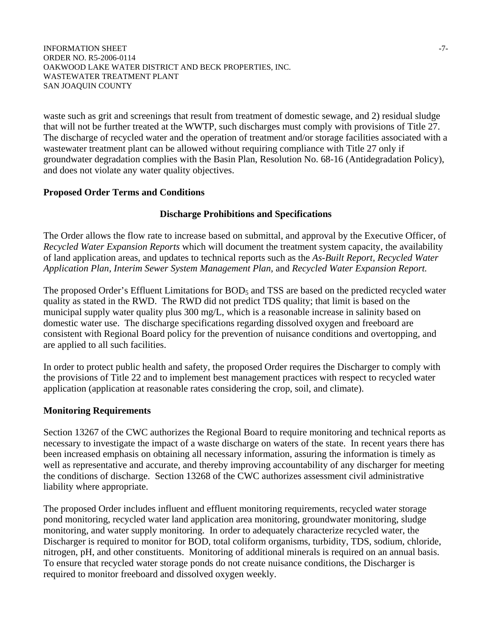#### INFORMATION SHEET  $-7$ -ORDER NO. R5-2006-0114 OAKWOOD LAKE WATER DISTRICT AND BECK PROPERTIES, INC. WASTEWATER TREATMENT PLANT SAN JOAQUIN COUNTY

waste such as grit and screenings that result from treatment of domestic sewage, and 2) residual sludge that will not be further treated at the WWTP, such discharges must comply with provisions of Title 27. The discharge of recycled water and the operation of treatment and/or storage facilities associated with a wastewater treatment plant can be allowed without requiring compliance with Title 27 only if groundwater degradation complies with the Basin Plan, Resolution No. 68-16 (Antidegradation Policy), and does not violate any water quality objectives.

## **Proposed Order Terms and Conditions**

## **Discharge Prohibitions and Specifications**

The Order allows the flow rate to increase based on submittal, and approval by the Executive Officer, of *Recycled Water Expansion Reports* which will document the treatment system capacity, the availability of land application areas, and updates to technical reports such as the *As-Built Report, Recycled Water Application Plan, Interim Sewer System Management Plan,* and *Recycled Water Expansion Report.*

The proposed Order's Effluent Limitations for BOD<sub>5</sub> and TSS are based on the predicted recycled water quality as stated in the RWD. The RWD did not predict TDS quality; that limit is based on the municipal supply water quality plus 300 mg/L, which is a reasonable increase in salinity based on domestic water use. The discharge specifications regarding dissolved oxygen and freeboard are consistent with Regional Board policy for the prevention of nuisance conditions and overtopping, and are applied to all such facilities.

In order to protect public health and safety, the proposed Order requires the Discharger to comply with the provisions of Title 22 and to implement best management practices with respect to recycled water application (application at reasonable rates considering the crop, soil, and climate).

## **Monitoring Requirements**

Section 13267 of the CWC authorizes the Regional Board to require monitoring and technical reports as necessary to investigate the impact of a waste discharge on waters of the state. In recent years there has been increased emphasis on obtaining all necessary information, assuring the information is timely as well as representative and accurate, and thereby improving accountability of any discharger for meeting the conditions of discharge. Section 13268 of the CWC authorizes assessment civil administrative liability where appropriate.

The proposed Order includes influent and effluent monitoring requirements, recycled water storage pond monitoring, recycled water land application area monitoring, groundwater monitoring, sludge monitoring, and water supply monitoring. In order to adequately characterize recycled water, the Discharger is required to monitor for BOD, total coliform organisms, turbidity, TDS, sodium, chloride, nitrogen, pH, and other constituents. Monitoring of additional minerals is required on an annual basis. To ensure that recycled water storage ponds do not create nuisance conditions, the Discharger is required to monitor freeboard and dissolved oxygen weekly.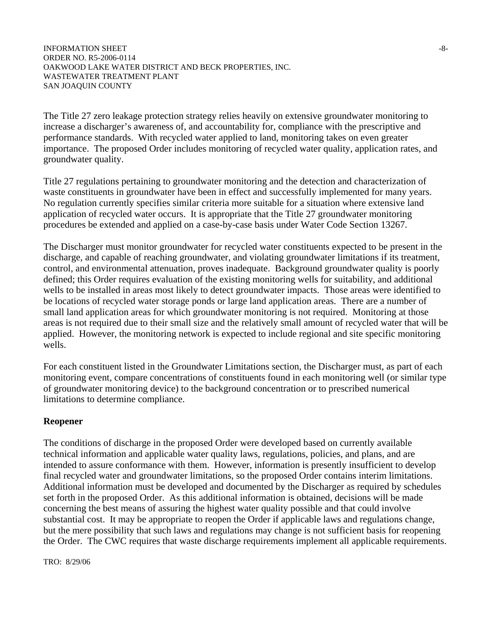#### INFORMATION SHEET  $-8-$ ORDER NO. R5-2006-0114 OAKWOOD LAKE WATER DISTRICT AND BECK PROPERTIES, INC. WASTEWATER TREATMENT PLANT SAN JOAQUIN COUNTY

The Title 27 zero leakage protection strategy relies heavily on extensive groundwater monitoring to increase a discharger's awareness of, and accountability for, compliance with the prescriptive and performance standards. With recycled water applied to land, monitoring takes on even greater importance. The proposed Order includes monitoring of recycled water quality, application rates, and groundwater quality.

Title 27 regulations pertaining to groundwater monitoring and the detection and characterization of waste constituents in groundwater have been in effect and successfully implemented for many years. No regulation currently specifies similar criteria more suitable for a situation where extensive land application of recycled water occurs. It is appropriate that the Title 27 groundwater monitoring procedures be extended and applied on a case-by-case basis under Water Code Section 13267.

The Discharger must monitor groundwater for recycled water constituents expected to be present in the discharge, and capable of reaching groundwater, and violating groundwater limitations if its treatment, control, and environmental attenuation, proves inadequate. Background groundwater quality is poorly defined; this Order requires evaluation of the existing monitoring wells for suitability, and additional wells to be installed in areas most likely to detect groundwater impacts. Those areas were identified to be locations of recycled water storage ponds or large land application areas. There are a number of small land application areas for which groundwater monitoring is not required. Monitoring at those areas is not required due to their small size and the relatively small amount of recycled water that will be applied. However, the monitoring network is expected to include regional and site specific monitoring wells.

For each constituent listed in the Groundwater Limitations section, the Discharger must, as part of each monitoring event, compare concentrations of constituents found in each monitoring well (or similar type of groundwater monitoring device) to the background concentration or to prescribed numerical limitations to determine compliance.

## **Reopener**

The conditions of discharge in the proposed Order were developed based on currently available technical information and applicable water quality laws, regulations, policies, and plans, and are intended to assure conformance with them. However, information is presently insufficient to develop final recycled water and groundwater limitations, so the proposed Order contains interim limitations. Additional information must be developed and documented by the Discharger as required by schedules set forth in the proposed Order. As this additional information is obtained, decisions will be made concerning the best means of assuring the highest water quality possible and that could involve substantial cost. It may be appropriate to reopen the Order if applicable laws and regulations change, but the mere possibility that such laws and regulations may change is not sufficient basis for reopening the Order. The CWC requires that waste discharge requirements implement all applicable requirements.

TRO: 8/29/06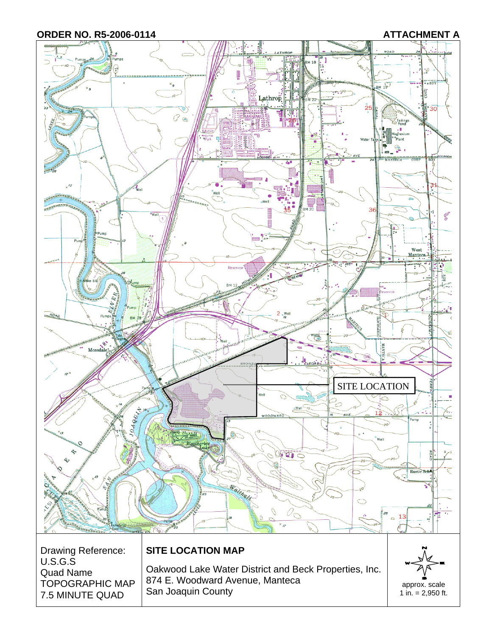

TOPOGRAPHIC MAP 7.5 MINUTE QUAD 874 E. Woodward Avenue, Manteca San Joaquin County<br>
San Joaquin County<br>
1 in. = 2,950 ft.

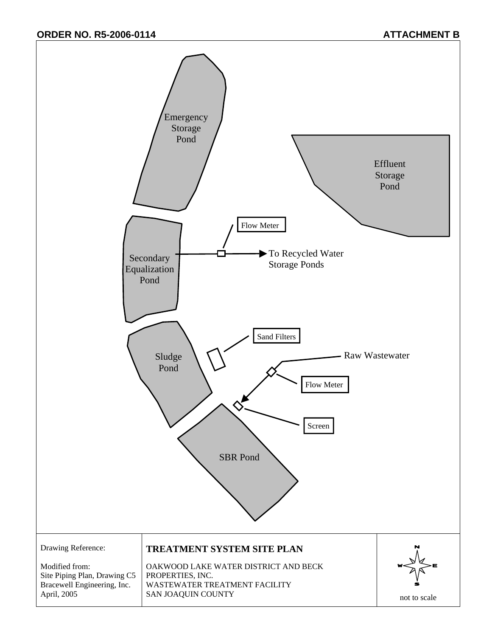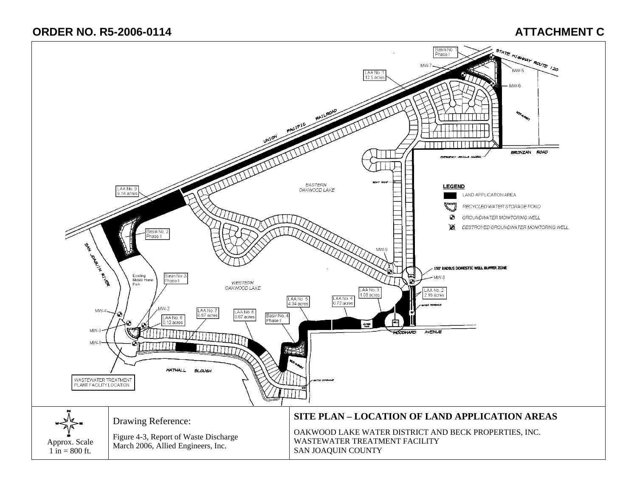# **ORDER NO. R5-2006-0114 ATTACHMENT C**

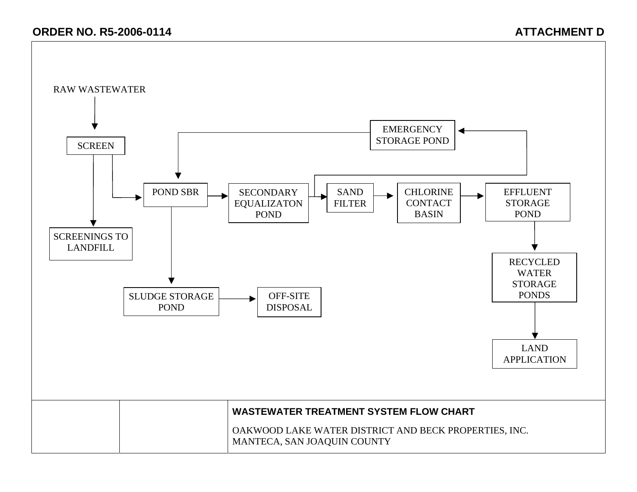# **ORDER NO. R5-2006-0114 CONSUMING ATTACHMENT D**

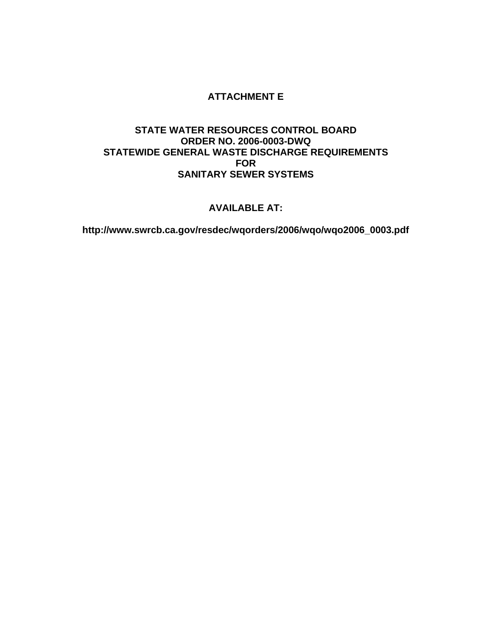## **ATTACHMENT E**

## **STATE WATER RESOURCES CONTROL BOARD ORDER NO. 2006-0003-DWQ STATEWIDE GENERAL WASTE DISCHARGE REQUIREMENTS FOR SANITARY SEWER SYSTEMS**

## **AVAILABLE AT:**

**http://www.swrcb.ca.gov/resdec/wqorders/2006/wqo/wqo2006\_0003.pdf**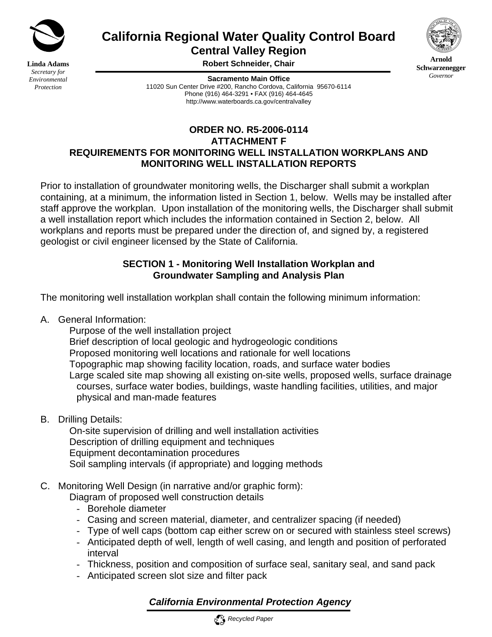

**Linda Adams** *Secretary for Environmental Protection*

**California Regional Water Quality Control Board Central Valley Region** 



**Arnold Schwarzenegger** *Governor* 

**Robert Schneider, Chair**

**Sacramento Main Office** 11020 Sun Center Drive #200, Rancho Cordova, California 95670-6114 Phone (916) 464-3291 • FAX (916) 464-4645 http://www.waterboards.ca.gov/centralvalley

## **ORDER NO. R5-2006-0114 ATTACHMENT F REQUIREMENTS FOR MONITORING WELL INSTALLATION WORKPLANS AND MONITORING WELL INSTALLATION REPORTS**

Prior to installation of groundwater monitoring wells, the Discharger shall submit a workplan containing, at a minimum, the information listed in Section 1, below. Wells may be installed after staff approve the workplan. Upon installation of the monitoring wells, the Discharger shall submit a well installation report which includes the information contained in Section 2, below. All workplans and reports must be prepared under the direction of, and signed by, a registered geologist or civil engineer licensed by the State of California.

# **SECTION 1 - Monitoring Well Installation Workplan and Groundwater Sampling and Analysis Plan**

The monitoring well installation workplan shall contain the following minimum information:

A. General Information:

Purpose of the well installation project

Brief description of local geologic and hydrogeologic conditions

Proposed monitoring well locations and rationale for well locations

Topographic map showing facility location, roads, and surface water bodies

 Large scaled site map showing all existing on-site wells, proposed wells, surface drainage courses, surface water bodies, buildings, waste handling facilities, utilities, and major physical and man-made features

B. Drilling Details:

 On-site supervision of drilling and well installation activities Description of drilling equipment and techniques Equipment decontamination procedures Soil sampling intervals (if appropriate) and logging methods

# C. Monitoring Well Design (in narrative and/or graphic form):

Diagram of proposed well construction details

- Borehole diameter
- Casing and screen material, diameter, and centralizer spacing (if needed)
- Type of well caps (bottom cap either screw on or secured with stainless steel screws)
- Anticipated depth of well, length of well casing, and length and position of perforated interval
- Thickness, position and composition of surface seal, sanitary seal, and sand pack
- Anticipated screen slot size and filter pack

# *California Environmental Protection Agency*

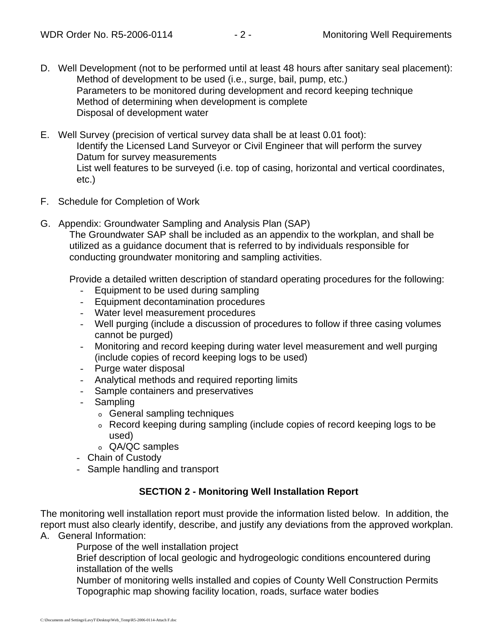- D. Well Development (not to be performed until at least 48 hours after sanitary seal placement): Method of development to be used (i.e., surge, bail, pump, etc.) Parameters to be monitored during development and record keeping technique Method of determining when development is complete Disposal of development water
- E. Well Survey (precision of vertical survey data shall be at least 0.01 foot): Identify the Licensed Land Surveyor or Civil Engineer that will perform the survey Datum for survey measurements List well features to be surveyed (i.e. top of casing, horizontal and vertical coordinates, etc.)
- F. Schedule for Completion of Work
- G. Appendix: Groundwater Sampling and Analysis Plan (SAP)

The Groundwater SAP shall be included as an appendix to the workplan, and shall be utilized as a guidance document that is referred to by individuals responsible for conducting groundwater monitoring and sampling activities.

Provide a detailed written description of standard operating procedures for the following:

- Equipment to be used during sampling
- Equipment decontamination procedures
- Water level measurement procedures
- Well purging (include a discussion of procedures to follow if three casing volumes cannot be purged)
- Monitoring and record keeping during water level measurement and well purging (include copies of record keeping logs to be used)
- Purge water disposal
- Analytical methods and required reporting limits
- Sample containers and preservatives
- Sampling
	- o General sampling techniques
	- o Record keeping during sampling (include copies of record keeping logs to be used)
	- o QA/QC samples
- Chain of Custody
- Sample handling and transport

## **SECTION 2 - Monitoring Well Installation Report**

The monitoring well installation report must provide the information listed below. In addition, the report must also clearly identify, describe, and justify any deviations from the approved workplan.

A. General Information:

Purpose of the well installation project

Brief description of local geologic and hydrogeologic conditions encountered during installation of the wells

Number of monitoring wells installed and copies of County Well Construction Permits Topographic map showing facility location, roads, surface water bodies